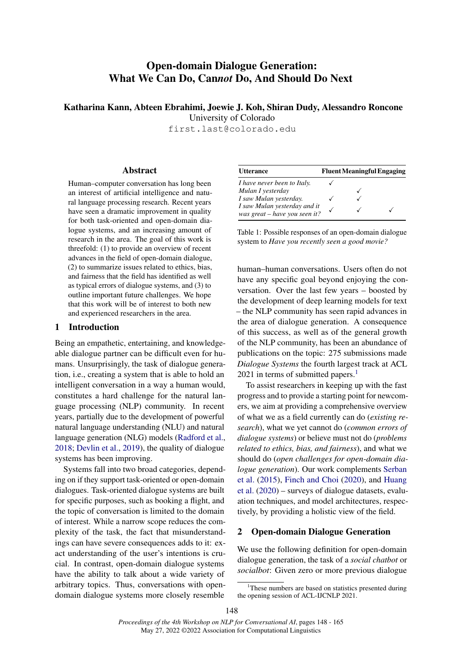# Open-domain Dialogue Generation: What We Can Do, Can*not* Do, And Should Do Next

Katharina Kann, Abteen Ebrahimi, Joewie J. Koh, Shiran Dudy, Alessandro Roncone

University of Colorado

first.last@colorado.edu

#### Abstract

Human–computer conversation has long been an interest of artificial intelligence and natural language processing research. Recent years have seen a dramatic improvement in quality for both task-oriented and open-domain dialogue systems, and an increasing amount of research in the area. The goal of this work is threefold: (1) to provide an overview of recent advances in the field of open-domain dialogue, (2) to summarize issues related to ethics, bias, and fairness that the field has identified as well as typical errors of dialogue systems, and (3) to outline important future challenges. We hope that this work will be of interest to both new and experienced researchers in the area.

# 1 Introduction

Being an empathetic, entertaining, and knowledgeable dialogue partner can be difficult even for humans. Unsurprisingly, the task of dialogue generation, i.e., creating a system that is able to hold an intelligent conversation in a way a human would, constitutes a hard challenge for the natural language processing (NLP) community. In recent years, partially due to the development of powerful natural language understanding (NLU) and natural language generation (NLG) models [\(Radford et al.,](#page-13-0) [2018;](#page-13-0) [Devlin et al.,](#page-10-0) [2019\)](#page-10-0), the quality of dialogue systems has been improving.

Systems fall into two broad categories, depending on if they support task-oriented or open-domain dialogues. Task-oriented dialogue systems are built for specific purposes, such as booking a flight, and the topic of conversation is limited to the domain of interest. While a narrow scope reduces the complexity of the task, the fact that misunderstandings can have severe consequences adds to it: exact understanding of the user's intentions is crucial. In contrast, open-domain dialogue systems have the ability to talk about a wide variety of arbitrary topics. Thus, conversations with opendomain dialogue systems more closely resemble

<span id="page-0-1"></span>

| <b>Utterance</b>                                              | <b>Fluent Meaningful Engaging</b> |  |  |  |
|---------------------------------------------------------------|-----------------------------------|--|--|--|
| <i>I have never been to Italy.</i>                            |                                   |  |  |  |
| Mulan I yesterday                                             |                                   |  |  |  |
| I saw Mulan yesterday.                                        |                                   |  |  |  |
| I saw Mulan yesterday and it<br>was great - have you seen it? |                                   |  |  |  |

Table 1: Possible responses of an open-domain dialogue system to *Have you recently seen a good movie?*

human–human conversations. Users often do not have any specific goal beyond enjoying the conversation. Over the last few years – boosted by the development of deep learning models for text – the NLP community has seen rapid advances in the area of dialogue generation. A consequence of this success, as well as of the general growth of the NLP community, has been an abundance of publications on the topic: 275 submissions made *Dialogue Systems* the fourth largest track at ACL 202[1](#page-0-0) in terms of submitted papers. $<sup>1</sup>$ </sup>

To assist researchers in keeping up with the fast progress and to provide a starting point for newcomers, we aim at providing a comprehensive overview of what we as a field currently can do (*existing research*), what we yet cannot do (*common errors of dialogue systems*) or believe must not do (*problems related to ethics, bias, and fairness*), and what we should do (*open challenges for open-domain dialogue generation*). Our work complements [Serban](#page-14-0) [et al.](#page-14-0) [\(2015\)](#page-14-0), [Finch and Choi](#page-10-1) [\(2020\)](#page-10-1), and [Huang](#page-11-0) [et al.](#page-11-0) [\(2020\)](#page-11-0) – surveys of dialogue datasets, evaluation techniques, and model architectures, respectively, by providing a holistic view of the field.

# 2 Open-domain Dialogue Generation

We use the following definition for open-domain dialogue generation, the task of a *social chatbot* or *socialbot*: Given zero or more previous dialogue

<span id="page-0-0"></span><sup>&</sup>lt;sup>1</sup>These numbers are based on statistics presented during the opening session of ACL-IJCNLP 2021.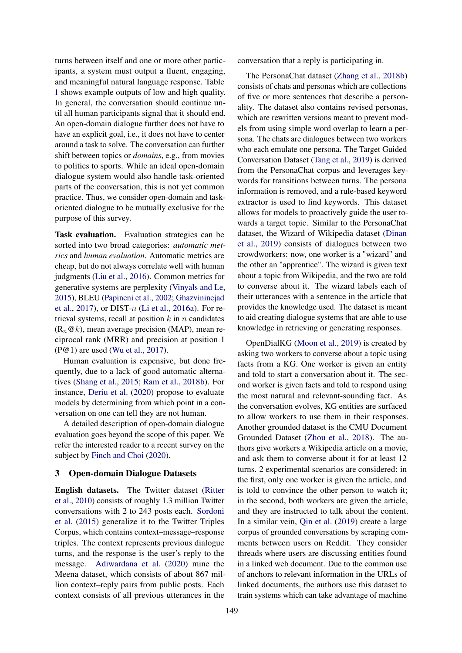turns between itself and one or more other participants, a system must output a fluent, engaging, and meaningful natural language response. Table [1](#page-0-1) shows example outputs of low and high quality. In general, the conversation should continue until all human participants signal that it should end. An open-domain dialogue further does not have to have an explicit goal, i.e., it does not have to center around a task to solve. The conversation can further shift between topics or *domains*, e.g., from movies to politics to sports. While an ideal open-domain dialogue system would also handle task-oriented parts of the conversation, this is not yet common practice. Thus, we consider open-domain and taskoriented dialogue to be mutually exclusive for the purpose of this survey.

Task evaluation. Evaluation strategies can be sorted into two broad categories: *automatic metrics* and *human evaluation*. Automatic metrics are cheap, but do not always correlate well with human judgments [\(Liu et al.,](#page-12-0) [2016\)](#page-12-0). Common metrics for generative systems are perplexity [\(Vinyals and Le,](#page-14-1) [2015\)](#page-14-1), BLEU [\(Papineni et al.,](#page-13-1) [2002;](#page-13-1) [Ghazvininejad](#page-10-2) [et al.,](#page-10-2) [2017\)](#page-10-2), or DIST- $n$  [\(Li et al.,](#page-11-1) [2016a\)](#page-11-1). For retrieval systems, recall at position  $k$  in  $n$  candidates  $(R_n@k)$ , mean average precision (MAP), mean reciprocal rank (MRR) and precision at position 1 (P@1) are used [\(Wu et al.,](#page-15-0) [2017\)](#page-15-0).

Human evaluation is expensive, but done frequently, due to a lack of good automatic alternatives [\(Shang et al.,](#page-14-2) [2015;](#page-14-2) [Ram et al.,](#page-13-2) [2018b\)](#page-13-2). For instance, [Deriu et al.](#page-10-3) [\(2020\)](#page-10-3) propose to evaluate models by determining from which point in a conversation on one can tell they are not human.

A detailed description of open-domain dialogue evaluation goes beyond the scope of this paper. We refer the interested reader to a recent survey on the subject by [Finch and Choi](#page-10-1) [\(2020\)](#page-10-1).

## <span id="page-1-0"></span>3 Open-domain Dialogue Datasets

English datasets. The Twitter dataset [\(Ritter](#page-13-3) [et al.,](#page-13-3) [2010\)](#page-13-3) consists of roughly 1.3 million Twitter conversations with 2 to 243 posts each. [Sordoni](#page-14-3) [et al.](#page-14-3) [\(2015\)](#page-14-3) generalize it to the Twitter Triples Corpus, which contains context–message–response triples. The context represents previous dialogue turns, and the response is the user's reply to the message. [Adiwardana et al.](#page-8-0) [\(2020\)](#page-8-0) mine the Meena dataset, which consists of about 867 million context–reply pairs from public posts. Each context consists of all previous utterances in the

conversation that a reply is participating in.

The PersonaChat dataset [\(Zhang et al.,](#page-15-1) [2018b\)](#page-15-1) consists of chats and personas which are collections of five or more sentences that describe a personality. The dataset also contains revised personas, which are rewritten versions meant to prevent models from using simple word overlap to learn a persona. The chats are dialogues between two workers who each emulate one persona. The Target Guided Conversation Dataset [\(Tang et al.,](#page-14-4) [2019\)](#page-14-4) is derived from the PersonaChat corpus and leverages keywords for transitions between turns. The persona information is removed, and a rule-based keyword extractor is used to find keywords. This dataset allows for models to proactively guide the user towards a target topic. Similar to the PersonaChat dataset, the Wizard of Wikipedia dataset [\(Dinan](#page-10-4) [et al.,](#page-10-4) [2019\)](#page-10-4) consists of dialogues between two crowdworkers: now, one worker is a "wizard" and the other an "apprentice". The wizard is given text about a topic from Wikipedia, and the two are told to converse about it. The wizard labels each of their utterances with a sentence in the article that provides the knowledge used. The dataset is meant to aid creating dialogue systems that are able to use knowledge in retrieving or generating responses.

OpenDialKG [\(Moon et al.,](#page-12-1) [2019\)](#page-12-1) is created by asking two workers to converse about a topic using facts from a KG. One worker is given an entity and told to start a conversation about it. The second worker is given facts and told to respond using the most natural and relevant-sounding fact. As the conversation evolves, KG entities are surfaced to allow workers to use them in their responses. Another grounded dataset is the CMU Document Grounded Dataset [\(Zhou et al.,](#page-16-0) [2018\)](#page-16-0). The authors give workers a Wikipedia article on a movie, and ask them to converse about it for at least 12 turns. 2 experimental scenarios are considered: in the first, only one worker is given the article, and is told to convince the other person to watch it; in the second, both workers are given the article, and they are instructed to talk about the content. In a similar vein, [Qin et al.](#page-13-4) [\(2019\)](#page-13-4) create a large corpus of grounded conversations by scraping comments between users on Reddit. They consider threads where users are discussing entities found in a linked web document. Due to the common use of anchors to relevant information in the URLs of linked documents, the authors use this dataset to train systems which can take advantage of machine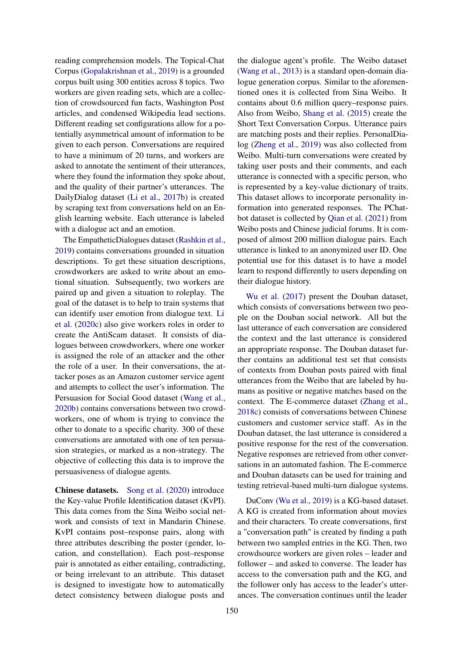reading comprehension models. The Topical-Chat Corpus [\(Gopalakrishnan et al.,](#page-10-5) [2019\)](#page-10-5) is a grounded corpus built using 300 entities across 8 topics. Two workers are given reading sets, which are a collection of crowdsourced fun facts, Washington Post articles, and condensed Wikipedia lead sections. Different reading set configurations allow for a potentially asymmetrical amount of information to be given to each person. Conversations are required to have a minimum of 20 turns, and workers are asked to annotate the sentiment of their utterances, where they found the information they spoke about, and the quality of their partner's utterances. The DailyDialog dataset [\(Li et al.,](#page-12-2) [2017b\)](#page-12-2) is created by scraping text from conversations held on an English learning website. Each utterance is labeled with a dialogue act and an emotion.

The EmpatheticDialogues dataset [\(Rashkin et al.,](#page-13-5) [2019\)](#page-13-5) contains conversations grounded in situation descriptions. To get these situation descriptions, crowdworkers are asked to write about an emotional situation. Subsequently, two workers are paired up and given a situation to roleplay. The goal of the dataset is to help to train systems that can identify user emotion from dialogue text. [Li](#page-12-3) [et al.](#page-12-3) [\(2020c\)](#page-12-3) also give workers roles in order to create the AntiScam dataset. It consists of dialogues between crowdworkers, where one worker is assigned the role of an attacker and the other the role of a user. In their conversations, the attacker poses as an Amazon customer service agent and attempts to collect the user's information. The Persuasion for Social Good dataset [\(Wang et al.,](#page-15-2) [2020b\)](#page-15-2) contains conversations between two crowdworkers, one of whom is trying to convince the other to donate to a specific charity. 300 of these conversations are annotated with one of ten persuasion strategies, or marked as a non-strategy. The objective of collecting this data is to improve the persuasiveness of dialogue agents.

Chinese datasets. [Song et al.](#page-14-5) [\(2020\)](#page-14-5) introduce the Key-value Profile Identification dataset (KvPI). This data comes from the Sina Weibo social network and consists of text in Mandarin Chinese. KvPI contains post–response pairs, along with three attributes describing the poster (gender, location, and constellation). Each post–response pair is annotated as either entailing, contradicting, or being irrelevant to an attribute. This dataset is designed to investigate how to automatically detect consistency between dialogue posts and

the dialogue agent's profile. The Weibo dataset [\(Wang et al.,](#page-15-3) [2013\)](#page-15-3) is a standard open-domain dialogue generation corpus. Similar to the aforementioned ones it is collected from Sina Weibo. It contains about 0.6 million query–response pairs. Also from Weibo, [Shang et al.](#page-14-2) [\(2015\)](#page-14-2) create the Short Text Conversation Corpus. Utterance pairs are matching posts and their replies. PersonalDialog [\(Zheng et al.,](#page-16-1) [2019\)](#page-16-1) was also collected from Weibo. Multi-turn conversations were created by taking user posts and their comments, and each utterance is connected with a specific person, who is represented by a key-value dictionary of traits. This dataset allows to incorporate personality information into generated responses. The PChatbot dataset is collected by [Qian et al.](#page-13-6) [\(2021\)](#page-13-6) from Weibo posts and Chinese judicial forums. It is composed of almost 200 million dialogue pairs. Each utterance is linked to an anonymized user ID. One potential use for this dataset is to have a model learn to respond differently to users depending on their dialogue history.

[Wu et al.](#page-15-0) [\(2017\)](#page-15-0) present the Douban dataset, which consists of conversations between two people on the Douban social network. All but the last utterance of each conversation are considered the context and the last utterance is considered an appropriate response. The Douban dataset further contains an additional test set that consists of contexts from Douban posts paired with final utterances from the Weibo that are labeled by humans as positive or negative matches based on the context. The E-commerce dataset [\(Zhang et al.,](#page-15-4) [2018c\)](#page-15-4) consists of conversations between Chinese customers and customer service staff. As in the Douban dataset, the last utterance is considered a positive response for the rest of the conversation. Negative responses are retrieved from other conversations in an automated fashion. The E-commerce and Douban datasets can be used for training and testing retrieval-based multi-turn dialogue systems.

DuConv [\(Wu et al.,](#page-15-5) [2019\)](#page-15-5) is a KG-based dataset. A KG is created from information about movies and their characters. To create conversations, first a "conversation path" is created by finding a path between two sampled entries in the KG. Then, two crowdsource workers are given roles – leader and follower – and asked to converse. The leader has access to the conversation path and the KG, and the follower only has access to the leader's utterances. The conversation continues until the leader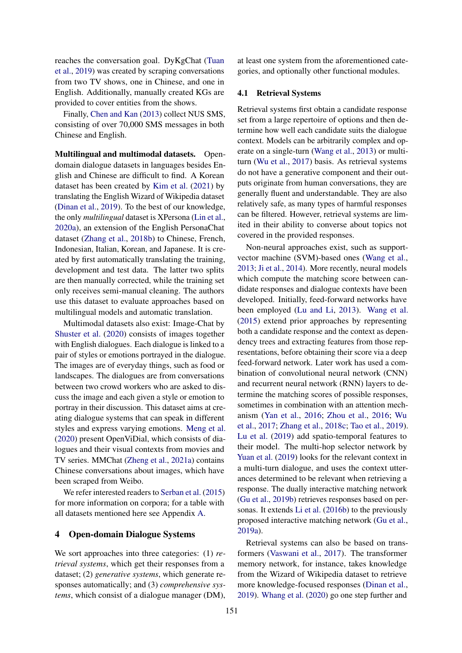reaches the conversation goal. DyKgChat [\(Tuan](#page-14-6) [et al.,](#page-14-6) [2019\)](#page-14-6) was created by scraping conversations from two TV shows, one in Chinese, and one in English. Additionally, manually created KGs are provided to cover entities from the shows.

Finally, [Chen and Kan](#page-9-0) [\(2013\)](#page-9-0) collect NUS SMS, consisting of over 70,000 SMS messages in both Chinese and English.

Multilingual and multimodal datasets. Opendomain dialogue datasets in languages besides English and Chinese are difficult to find. A Korean dataset has been created by [Kim et al.](#page-11-2) [\(2021\)](#page-11-2) by translating the English Wizard of Wikipedia dataset [\(Dinan et al.,](#page-10-4) [2019\)](#page-10-4). To the best of our knowledge, the only *multilingual* dataset is XPersona [\(Lin et al.,](#page-12-4) [2020a\)](#page-12-4), an extension of the English PersonaChat dataset [\(Zhang et al.,](#page-15-1) [2018b\)](#page-15-1) to Chinese, French, Indonesian, Italian, Korean, and Japanese. It is created by first automatically translating the training, development and test data. The latter two splits are then manually corrected, while the training set only receives semi-manual cleaning. The authors use this dataset to evaluate approaches based on multilingual models and automatic translation.

Multimodal datasets also exist: Image-Chat by [Shuster et al.](#page-14-7) [\(2020\)](#page-14-7) consists of images together with English dialogues. Each dialogue is linked to a pair of styles or emotions portrayed in the dialogue. The images are of everyday things, such as food or landscapes. The dialogues are from conversations between two crowd workers who are asked to discuss the image and each given a style or emotion to portray in their discussion. This dataset aims at creating dialogue systems that can speak in different styles and express varying emotions. [Meng et al.](#page-12-5) [\(2020\)](#page-12-5) present OpenViDial, which consists of dialogues and their visual contexts from movies and TV series. MMChat [\(Zheng et al.,](#page-16-2) [2021a\)](#page-16-2) contains Chinese conversations about images, which have been scraped from Weibo.

We refer interested readers to [Serban et al.](#page-14-0) [\(2015\)](#page-14-0) for more information on corpora; for a table with all datasets mentioned here see Appendix [A.](#page-17-0)

# <span id="page-3-0"></span>4 Open-domain Dialogue Systems

We sort approaches into three categories: (1) *retrieval systems*, which get their responses from a dataset; (2) *generative systems*, which generate responses automatically; and (3) *comprehensive systems*, which consist of a dialogue manager (DM), at least one system from the aforementioned categories, and optionally other functional modules.

#### 4.1 Retrieval Systems

Retrieval systems first obtain a candidate response set from a large repertoire of options and then determine how well each candidate suits the dialogue context. Models can be arbitrarily complex and operate on a single-turn [\(Wang et al.,](#page-15-3) [2013\)](#page-15-3) or multiturn [\(Wu et al.,](#page-15-0) [2017\)](#page-15-0) basis. As retrieval systems do not have a generative component and their outputs originate from human conversations, they are generally fluent and understandable. They are also relatively safe, as many types of harmful responses can be filtered. However, retrieval systems are limited in their ability to converse about topics not covered in the provided responses.

Non-neural approaches exist, such as supportvector machine (SVM)-based ones [\(Wang et al.,](#page-15-3) [2013;](#page-15-3) [Ji et al.,](#page-11-3) [2014\)](#page-11-3). More recently, neural models which compute the matching score between candidate responses and dialogue contexts have been developed. Initially, feed-forward networks have been employed [\(Lu and Li,](#page-12-6) [2013\)](#page-12-6). [Wang et al.](#page-15-6) [\(2015\)](#page-15-6) extend prior approaches by representing both a candidate response and the context as dependency trees and extracting features from those representations, before obtaining their score via a deep feed-forward network. Later work has used a combination of convolutional neural network (CNN) and recurrent neural network (RNN) layers to determine the matching scores of possible responses, sometimes in combination with an attention mechanism [\(Yan et al.,](#page-15-7) [2016;](#page-15-7) [Zhou et al.,](#page-16-3) [2016;](#page-16-3) [Wu](#page-15-0) [et al.,](#page-15-0) [2017;](#page-15-0) [Zhang et al.,](#page-15-4) [2018c;](#page-15-4) [Tao et al.,](#page-14-8) [2019\)](#page-14-8). [Lu et al.](#page-12-7) [\(2019\)](#page-12-7) add spatio-temporal features to their model. The multi-hop selector network by [Yuan et al.](#page-15-8) [\(2019\)](#page-15-8) looks for the relevant context in a multi-turn dialogue, and uses the context utterances determined to be relevant when retrieving a response. The dually interactive matching network [\(Gu et al.,](#page-11-4) [2019b\)](#page-11-4) retrieves responses based on personas. It extends [Li et al.](#page-11-5) [\(2016b\)](#page-11-5) to the previously proposed interactive matching network [\(Gu et al.,](#page-10-6) [2019a\)](#page-10-6).

Retrieval systems can also be based on transformers [\(Vaswani et al.,](#page-14-9) [2017\)](#page-14-9). The transformer memory network, for instance, takes knowledge from the Wizard of Wikipedia dataset to retrieve more knowledge-focused responses [\(Dinan et al.,](#page-10-4) [2019\)](#page-10-4). [Whang et al.](#page-15-9) [\(2020\)](#page-15-9) go one step further and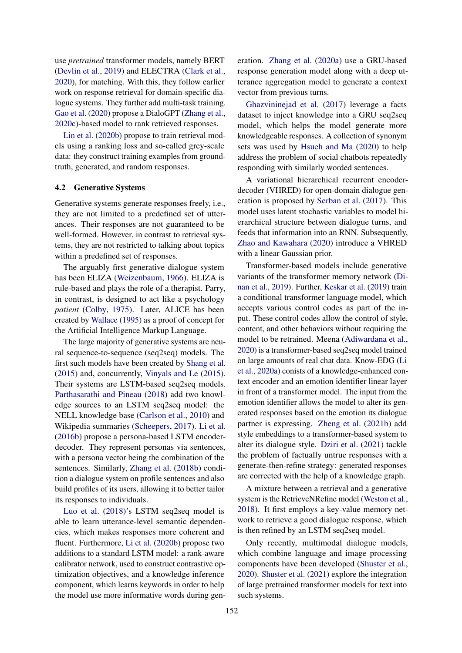use *pretrained* transformer models, namely BERT [\(Devlin et al.,](#page-10-0) [2019\)](#page-10-0) and ELECTRA [\(Clark et al.,](#page-9-1) [2020\)](#page-9-1), for matching. With this, they follow earlier work on response retrieval for domain-specific dialogue systems. They further add multi-task training. [Gao et al.](#page-10-7) [\(2020\)](#page-10-7) propose a DialoGPT [\(Zhang et al.,](#page-15-10) [2020c\)](#page-15-10)-based model to rank retrieved responses.

[Lin et al.](#page-12-8) [\(2020b\)](#page-12-8) propose to train retrieval models using a ranking loss and so-called grey-scale data: they construct training examples from groundtruth, generated, and random responses.

#### 4.2 Generative Systems

Generative systems generate responses freely, i.e., they are not limited to a predefined set of utterances. Their responses are not guaranteed to be well-formed. However, in contrast to retrieval systems, they are not restricted to talking about topics within a predefined set of responses.

The arguably first generative dialogue system has been ELIZA [\(Weizenbaum,](#page-15-11) [1966\)](#page-15-11). ELIZA is rule-based and plays the role of a therapist. Parry, in contrast, is designed to act like a psychology *patient* [\(Colby,](#page-9-2) [1975\)](#page-9-2). Later, ALICE has been created by [Wallace](#page-15-12) [\(1995\)](#page-15-12) as a proof of concept for the Artificial Intelligence Markup Language.

The large majority of generative systems are neural sequence-to-sequence (seq2seq) models. The first such models have been created by [Shang et al.](#page-14-2) [\(2015\)](#page-14-2) and, concurrently, [Vinyals and Le](#page-14-1) [\(2015\)](#page-14-1). Their systems are LSTM-based seq2seq models. [Parthasarathi and Pineau](#page-13-7) [\(2018\)](#page-13-7) add two knowledge sources to an LSTM seq2seq model: the NELL knowledge base [\(Carlson et al.,](#page-9-3) [2010\)](#page-9-3) and Wikipedia summaries [\(Scheepers,](#page-14-10) [2017\)](#page-14-10). [Li et al.](#page-11-5) [\(2016b\)](#page-11-5) propose a persona-based LSTM encoderdecoder. They represent personas via sentences, with a persona vector being the combination of the sentences. Similarly, [Zhang et al.](#page-15-1) [\(2018b\)](#page-15-1) condition a dialogue system on profile sentences and also build profiles of its users, allowing it to better tailor its responses to individuals.

[Luo et al.](#page-12-9) [\(2018\)](#page-12-9)'s LSTM seq2seq model is able to learn utterance-level semantic dependencies, which makes responses more coherent and fluent. Furthermore, [Li et al.](#page-12-10) [\(2020b\)](#page-12-10) propose two additions to a standard LSTM model: a rank-aware calibrator network, used to construct contrastive optimization objectives, and a knowledge inference component, which learns keywords in order to help the model use more informative words during generation. [Zhang et al.](#page-15-13) [\(2020a\)](#page-15-13) use a GRU-based response generation model along with a deep utterance aggregation model to generate a context vector from previous turns.

[Ghazvininejad et al.](#page-10-2) [\(2017\)](#page-10-2) leverage a facts dataset to inject knowledge into a GRU seq2seq model, which helps the model generate more knowledgeable responses. A collection of synonym sets was used by [Hsueh and Ma](#page-11-6) [\(2020\)](#page-11-6) to help address the problem of social chatbots repeatedly responding with similarly worded sentences.

A variational hierarchical recurrent encoderdecoder (VHRED) for open-domain dialogue generation is proposed by [Serban et al.](#page-14-11) [\(2017\)](#page-14-11). This model uses latent stochastic variables to model hierarchical structure between dialogue turns, and feeds that information into an RNN. Subsequently, [Zhao and Kawahara](#page-16-4) [\(2020\)](#page-16-4) introduce a VHRED with a linear Gaussian prior.

Transformer-based models include generative variants of the transformer memory network [\(Di](#page-10-4)[nan et al.,](#page-10-4) [2019\)](#page-10-4). Further, [Keskar et al.](#page-11-7) [\(2019\)](#page-11-7) train a conditional transformer language model, which accepts various control codes as part of the input. These control codes allow the control of style, content, and other behaviors without requiring the model to be retrained. Meena [\(Adiwardana et al.,](#page-8-0) [2020\)](#page-8-0) is a transformer-based seq2seq model trained on large amounts of real chat data. Know-EDG [\(Li](#page-12-11) [et al.,](#page-12-11) [2020a\)](#page-12-11) conists of a knowledge-enhanced context encoder and an emotion identifier linear layer in front of a transformer model. The input from the emotion identifier allows the model to alter its generated responses based on the emotion its dialogue partner is expressing. [Zheng et al.](#page-16-5) [\(2021b\)](#page-16-5) add style embeddings to a transformer-based system to alter its dialogue style. [Dziri et al.](#page-10-8) [\(2021\)](#page-10-8) tackle the problem of factually untrue responses with a generate-then-refine strategy: generated responses are corrected with the help of a knowledge graph.

A mixture between a retrieval and a generative system is the RetrieveNRefine model [\(Weston et al.,](#page-15-14) [2018\)](#page-15-14). It first employs a key-value memory network to retrieve a good dialogue response, which is then refined by an LSTM seq2seq model.

Only recently, multimodal dialogue models, which combine language and image processing components have been developed [\(Shuster et al.,](#page-14-7) [2020\)](#page-14-7). [Shuster et al.](#page-14-12) [\(2021\)](#page-14-12) explore the integration of large pretrained transformer models for text into such systems.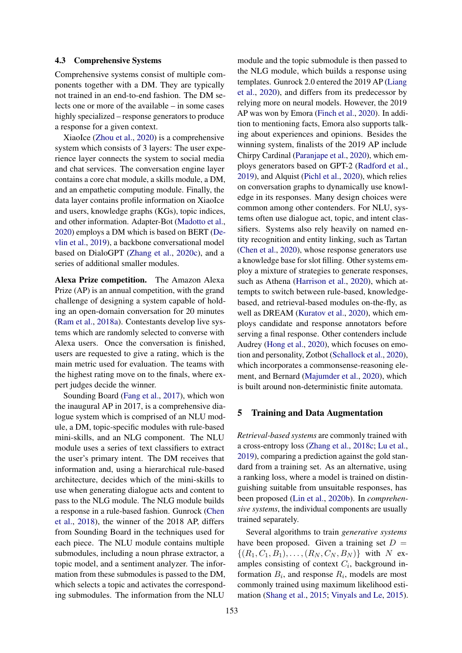#### 4.3 Comprehensive Systems

Comprehensive systems consist of multiple components together with a DM. They are typically not trained in an end-to-end fashion. The DM selects one or more of the available – in some cases highly specialized – response generators to produce a response for a given context.

XiaoIce [\(Zhou et al.,](#page-16-6) [2020\)](#page-16-6) is a comprehensive system which consists of 3 layers: The user experience layer connects the system to social media and chat services. The conversation engine layer contains a core chat module, a skills module, a DM, and an empathetic computing module. Finally, the data layer contains profile information on XiaoIce and users, knowledge graphs (KGs), topic indices, and other information. Adapter-Bot [\(Madotto et al.,](#page-12-12) [2020\)](#page-12-12) employs a DM which is based on BERT [\(De](#page-10-0)[vlin et al.,](#page-10-0) [2019\)](#page-10-0), a backbone conversational model based on DialoGPT [\(Zhang et al.,](#page-15-10) [2020c\)](#page-15-10), and a series of additional smaller modules.

Alexa Prize competition. The Amazon Alexa Prize (AP) is an annual competition, with the grand challenge of designing a system capable of holding an open-domain conversation for 20 minutes [\(Ram et al.,](#page-13-8) [2018a\)](#page-13-8). Contestants develop live systems which are randomly selected to converse with Alexa users. Once the conversation is finished, users are requested to give a rating, which is the main metric used for evaluation. The teams with the highest rating move on to the finals, where expert judges decide the winner.

Sounding Board [\(Fang et al.,](#page-10-9) [2017\)](#page-10-9), which won the inaugural AP in 2017, is a comprehensive dialogue system which is comprised of an NLU module, a DM, topic-specific modules with rule-based mini-skills, and an NLG component. The NLU module uses a series of text classifiers to extract the user's primary intent. The DM receives that information and, using a hierarchical rule-based architecture, decides which of the mini-skills to use when generating dialogue acts and content to pass to the NLG module. The NLG module builds a response in a rule-based fashion. Gunrock [\(Chen](#page-9-4) [et al.,](#page-9-4) [2018\)](#page-9-4), the winner of the 2018 AP, differs from Sounding Board in the techniques used for each piece. The NLU module contains multiple submodules, including a noun phrase extractor, a topic model, and a sentiment analyzer. The information from these submodules is passed to the DM, which selects a topic and activates the corresponding submodules. The information from the NLU

module and the topic submodule is then passed to the NLG module, which builds a response using templates. Gunrock 2.0 entered the 2019 AP [\(Liang](#page-12-13) [et al.,](#page-12-13) [2020\)](#page-12-13), and differs from its predecessor by relying more on neural models. However, the 2019 AP was won by Emora [\(Finch et al.,](#page-10-10) [2020\)](#page-10-10). In addition to mentioning facts, Emora also supports talking about experiences and opinions. Besides the winning system, finalists of the 2019 AP include Chirpy Cardinal [\(Paranjape et al.,](#page-13-9) [2020\)](#page-13-9), which employs generators based on GPT-2 [\(Radford et al.,](#page-13-10) [2019\)](#page-13-10), and Alquist [\(Pichl et al.,](#page-13-11) [2020\)](#page-13-11), which relies on conversation graphs to dynamically use knowledge in its responses. Many design choices were common among other contenders. For NLU, systems often use dialogue act, topic, and intent classifiers. Systems also rely heavily on named entity recognition and entity linking, such as Tartan [\(Chen et al.,](#page-9-5) [2020\)](#page-9-5), whose response generators use a knowledge base for slot filling. Other systems employ a mixture of strategies to generate responses, such as Athena [\(Harrison et al.,](#page-11-8) [2020\)](#page-11-8), which attempts to switch between rule-based, knowledgebased, and retrieval-based modules on-the-fly, as well as DREAM [\(Kuratov et al.,](#page-11-9) [2020\)](#page-11-9), which employs candidate and response annotators before serving a final response. Other contenders include Audrey [\(Hong et al.,](#page-11-10) [2020\)](#page-11-10), which focuses on emotion and personality, Zotbot [\(Schallock et al.,](#page-13-12) [2020\)](#page-13-12), which incorporates a commonsense-reasoning element, and Bernard [\(Majumder et al.,](#page-12-14) [2020\)](#page-12-14), which is built around non-deterministic finite automata.

#### 5 Training and Data Augmentation

*Retrieval-based systems* are commonly trained with a cross-entropy loss [\(Zhang et al.,](#page-15-4) [2018c;](#page-15-4) [Lu et al.,](#page-12-7) [2019\)](#page-12-7), comparing a prediction against the gold standard from a training set. As an alternative, using a ranking loss, where a model is trained on distinguishing suitable from unsuitable responses, has been proposed [\(Lin et al.,](#page-12-8) [2020b\)](#page-12-8). In *comprehensive systems*, the individual components are usually trained separately.

Several algorithms to train *generative systems* have been proposed. Given a training set  $D =$  $\{(R_1, C_1, B_1), \ldots, (R_N, C_N, B_N)\}\$  with N examples consisting of context  $C_i$ , background information  $B_i$ , and response  $R_i$ , models are most commonly trained using maximum likelihood estimation [\(Shang et al.,](#page-14-2) [2015;](#page-14-2) [Vinyals and Le,](#page-14-1) [2015\)](#page-14-1).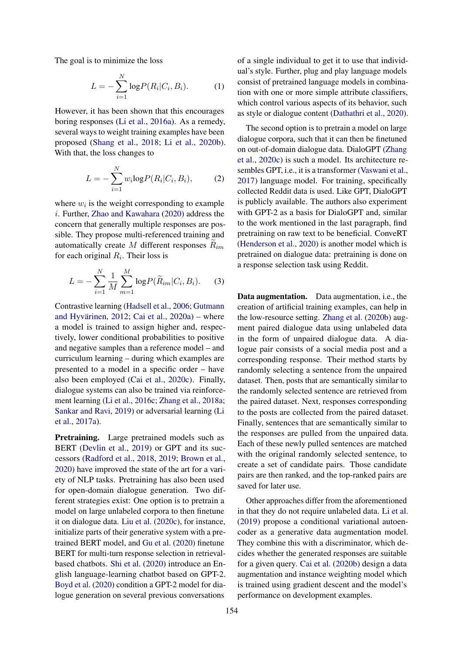The goal is to minimize the loss

$$
L = -\sum_{i=1}^{N} \log P(R_i | C_i, B_i).
$$
 (1)

However, it has been shown that this encourages boring responses [\(Li et al.,](#page-11-1) [2016a\)](#page-11-1). As a remedy, several ways to weight training examples have been proposed [\(Shang et al.,](#page-14-13) [2018;](#page-14-13) [Li et al.,](#page-12-10) [2020b\)](#page-12-10). With that, the loss changes to

$$
L = -\sum_{i=1}^{N} w_i \log P(R_i | C_i, B_i), \qquad (2)
$$

where  $w_i$  is the weight corresponding to example i. Further, [Zhao and Kawahara](#page-16-4) [\(2020\)](#page-16-4) address the concern that generally multiple responses are possible. They propose multi-referenced training and automatically create  $M$  different responses  $R_{im}$ for each original  $R_i$ . Their loss is

$$
L = -\sum_{i=1}^{N} \frac{1}{M} \sum_{m=1}^{M} \log P(\widetilde{R}_{im} | C_i, B_i).
$$
 (3)

Contrastive learning [\(Hadsell et al.,](#page-11-11) [2006;](#page-11-11) [Gutmann](#page-11-12) [and Hyvärinen,](#page-11-12) [2012;](#page-11-12) [Cai et al.,](#page-9-6) [2020a\)](#page-9-6) – where a model is trained to assign higher and, respectively, lower conditional probabilities to positive and negative samples than a reference model – and curriculum learning – during which examples are presented to a model in a specific order – have also been employed [\(Cai et al.,](#page-9-7) [2020c\)](#page-9-7). Finally, dialogue systems can also be trained via reinforcement learning [\(Li et al.,](#page-11-13) [2016c;](#page-11-13) [Zhang et al.,](#page-15-15) [2018a;](#page-15-15) [Sankar and Ravi,](#page-13-13) [2019\)](#page-13-13) or adversarial learning [\(Li](#page-11-14) [et al.,](#page-11-14) [2017a\)](#page-11-14).

Pretraining. Large pretrained models such as BERT [\(Devlin et al.,](#page-10-0) [2019\)](#page-10-0) or GPT and its successors [\(Radford et al.,](#page-13-0) [2018,](#page-13-0) [2019;](#page-13-10) [Brown et al.,](#page-9-8) [2020\)](#page-9-8) have improved the state of the art for a variety of NLP tasks. Pretraining has also been used for open-domain dialogue generation. Two different strategies exist: One option is to pretrain a model on large unlabeled corpora to then finetune it on dialogue data. [Liu et al.](#page-12-15) [\(2020c\)](#page-12-15), for instance, initialize parts of their generative system with a pretrained BERT model, and [Gu et al.](#page-10-11) [\(2020\)](#page-10-11) finetune BERT for multi-turn response selection in retrievalbased chatbots. [Shi et al.](#page-14-14) [\(2020\)](#page-14-14) introduce an English language-learning chatbot based on GPT-2. [Boyd et al.](#page-9-9) [\(2020\)](#page-9-9) condition a GPT-2 model for dialogue generation on several previous conversations

of a single individual to get it to use that individual's style. Further, plug and play language models consist of pretrained language models in combination with one or more simple attribute classifiers, which control various aspects of its behavior, such as style or dialogue content [\(Dathathri et al.,](#page-10-12) [2020\)](#page-10-12).

The second option is to pretrain a model on large dialogue corpora, such that it can then be finetuned on out-of-domain dialogue data. DialoGPT [\(Zhang](#page-15-10) [et al.,](#page-15-10) [2020c\)](#page-15-10) is such a model. Its architecture resembles GPT, i.e., it is a transformer [\(Vaswani et al.,](#page-14-9) [2017\)](#page-14-9) language model. For training, specifically collected Reddit data is used. Like GPT, DialoGPT is publicly available. The authors also experiment with GPT-2 as a basis for DialoGPT and, similar to the work mentioned in the last paragraph, find pretraining on raw text to be beneficial. ConveRT [\(Henderson et al.,](#page-11-15) [2020\)](#page-11-15) is another model which is pretrained on dialogue data: pretraining is done on a response selection task using Reddit.

Data augmentation. Data augmentation, i.e., the creation of artificial training examples, can help in the low-resource setting. [Zhang et al.](#page-15-16) [\(2020b\)](#page-15-16) augment paired dialogue data using unlabeled data in the form of unpaired dialogue data. A dialogue pair consists of a social media post and a corresponding response. Their method starts by randomly selecting a sentence from the unpaired dataset. Then, posts that are semantically similar to the randomly selected sentence are retrieved from the paired dataset. Next, responses corresponding to the posts are collected from the paired dataset. Finally, sentences that are semantically similar to the responses are pulled from the unpaired data. Each of these newly pulled sentences are matched with the original randomly selected sentence, to create a set of candidate pairs. Those candidate pairs are then ranked, and the top-ranked pairs are saved for later use.

Other approaches differ from the aforementioned in that they do not require unlabeled data. [Li et al.](#page-11-16) [\(2019\)](#page-11-16) propose a conditional variational autoencoder as a generative data augmentation model. They combine this with a discriminator, which decides whether the generated responses are suitable for a given query. [Cai et al.](#page-9-10) [\(2020b\)](#page-9-10) design a data augmentation and instance weighting model which is trained using gradient descent and the model's performance on development examples.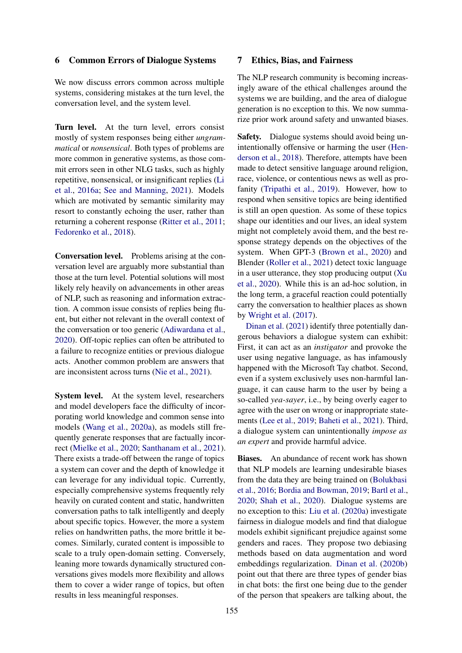# 6 Common Errors of Dialogue Systems

We now discuss errors common across multiple systems, considering mistakes at the turn level, the conversation level, and the system level.

Turn level. At the turn level, errors consist mostly of system responses being either *ungrammatical* or *nonsensical*. Both types of problems are more common in generative systems, as those commit errors seen in other NLG tasks, such as highly repetitive, nonsensical, or insignificant replies [\(Li](#page-11-1) [et al.,](#page-11-1) [2016a;](#page-11-1) [See and Manning,](#page-14-15) [2021\)](#page-14-15). Models which are motivated by semantic similarity may resort to constantly echoing the user, rather than returning a coherent response [\(Ritter et al.,](#page-13-14) [2011;](#page-13-14) [Fedorenko et al.,](#page-10-13) [2018\)](#page-10-13).

Conversation level. Problems arising at the conversation level are arguably more substantial than those at the turn level. Potential solutions will most likely rely heavily on advancements in other areas of NLP, such as reasoning and information extraction. A common issue consists of replies being fluent, but either not relevant in the overall context of the conversation or too generic [\(Adiwardana et al.,](#page-8-0) [2020\)](#page-8-0). Off-topic replies can often be attributed to a failure to recognize entities or previous dialogue acts. Another common problem are answers that are inconsistent across turns [\(Nie et al.,](#page-13-15) [2021\)](#page-13-15).

System level. At the system level, researchers and model developers face the difficulty of incorporating world knowledge and common sense into models [\(Wang et al.,](#page-15-17) [2020a\)](#page-15-17), as models still frequently generate responses that are factually incorrect [\(Mielke et al.,](#page-12-16) [2020;](#page-12-16) [Santhanam et al.,](#page-13-16) [2021\)](#page-13-16). There exists a trade-off between the range of topics a system can cover and the depth of knowledge it can leverage for any individual topic. Currently, especially comprehensive systems frequently rely heavily on curated content and static, handwritten conversation paths to talk intelligently and deeply about specific topics. However, the more a system relies on handwritten paths, the more brittle it becomes. Similarly, curated content is impossible to scale to a truly open-domain setting. Conversely, leaning more towards dynamically structured conversations gives models more flexibility and allows them to cover a wider range of topics, but often results in less meaningful responses.

# 7 Ethics, Bias, and Fairness

The NLP research community is becoming increasingly aware of the ethical challenges around the systems we are building, and the area of dialogue generation is no exception to this. We now summarize prior work around safety and unwanted biases.

Safety. Dialogue systems should avoid being unintentionally offensive or harming the user [\(Hen](#page-11-17)[derson et al.,](#page-11-17) [2018\)](#page-11-17). Therefore, attempts have been made to detect sensitive language around religion, race, violence, or contentious news as well as profanity [\(Tripathi et al.,](#page-14-16) [2019\)](#page-14-16). However, how to respond when sensitive topics are being identified is still an open question. As some of these topics shape our identities and our lives, an ideal system might not completely avoid them, and the best response strategy depends on the objectives of the system. When GPT-3 [\(Brown et al.,](#page-9-8) [2020\)](#page-9-8) and Blender [\(Roller et al.,](#page-13-17) [2021\)](#page-13-17) detect toxic language in a user utterance, they stop producing output [\(Xu](#page-15-18) [et al.,](#page-15-18) [2020\)](#page-15-18). While this is an ad-hoc solution, in the long term, a graceful reaction could potentially carry the conversation to healthier places as shown by [Wright et al.](#page-15-19) [\(2017\)](#page-15-19).

[Dinan et al.](#page-10-14) [\(2021\)](#page-10-14) identify three potentially dangerous behaviors a dialogue system can exhibit: First, it can act as an *instigator* and provoke the user using negative language, as has infamously happened with the Microsoft Tay chatbot. Second, even if a system exclusively uses non-harmful language, it can cause harm to the user by being a so-called *yea-sayer*, i.e., by being overly eager to agree with the user on wrong or inappropriate statements [\(Lee et al.,](#page-11-18) [2019;](#page-11-18) [Baheti et al.,](#page-9-11) [2021\)](#page-9-11). Third, a dialogue system can unintentionally *impose as an expert* and provide harmful advice.

Biases. An abundance of recent work has shown that NLP models are learning undesirable biases from the data they are being trained on [\(Bolukbasi](#page-9-12) [et al.,](#page-9-12) [2016;](#page-9-12) [Bordia and Bowman,](#page-9-13) [2019;](#page-9-13) [Bartl et al.,](#page-9-14) [2020;](#page-9-14) [Shah et al.,](#page-14-17) [2020\)](#page-14-17). Dialogue systems are no exception to this: [Liu et al.](#page-12-17) [\(2020a\)](#page-12-17) investigate fairness in dialogue models and find that dialogue models exhibit significant prejudice against some genders and races. They propose two debiasing methods based on data augmentation and word embeddings regularization. [Dinan et al.](#page-10-15) [\(2020b\)](#page-10-15) point out that there are three types of gender bias in chat bots: the first one being due to the gender of the person that speakers are talking about, the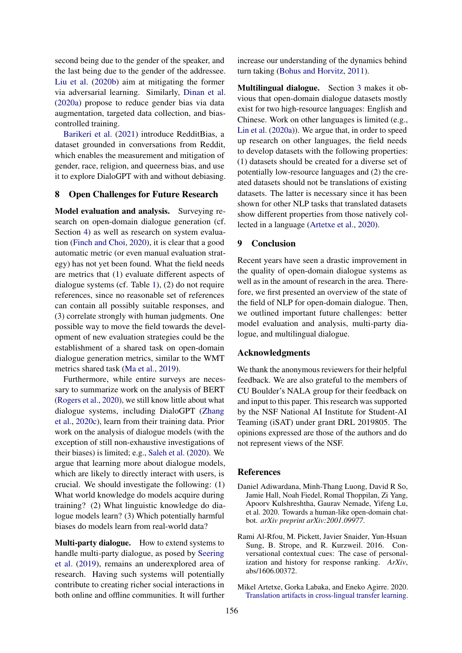second being due to the gender of the speaker, and the last being due to the gender of the addressee. [Liu et al.](#page-12-18) [\(2020b\)](#page-12-18) aim at mitigating the former via adversarial learning. Similarly, [Dinan et al.](#page-10-16) [\(2020a\)](#page-10-16) propose to reduce gender bias via data augmentation, targeted data collection, and biascontrolled training.

[Barikeri et al.](#page-9-15) [\(2021\)](#page-9-15) introduce RedditBias, a dataset grounded in conversations from Reddit, which enables the measurement and mitigation of gender, race, religion, and queerness bias, and use it to explore DialoGPT with and without debiasing.

# 8 Open Challenges for Future Research

Model evaluation and analysis. Surveying research on open-domain dialogue generation (cf. Section [4\)](#page-3-0) as well as research on system evaluation [\(Finch and Choi,](#page-10-1) [2020\)](#page-10-1), it is clear that a good automatic metric (or even manual evaluation strategy) has not yet been found. What the field needs are metrics that (1) evaluate different aspects of dialogue systems (cf. Table [1\)](#page-0-1), (2) do not require references, since no reasonable set of references can contain all possibly suitable responses, and (3) correlate strongly with human judgments. One possible way to move the field towards the development of new evaluation strategies could be the establishment of a shared task on open-domain dialogue generation metrics, similar to the WMT metrics shared task [\(Ma et al.,](#page-12-19) [2019\)](#page-12-19).

Furthermore, while entire surveys are necessary to summarize work on the analysis of BERT [\(Rogers et al.,](#page-13-18) [2020\)](#page-13-18), we still know little about what dialogue systems, including DialoGPT [\(Zhang](#page-15-10) [et al.,](#page-15-10) [2020c\)](#page-15-10), learn from their training data. Prior work on the analysis of dialogue models (with the exception of still non-exhaustive investigations of their biases) is limited; e.g., [Saleh et al.](#page-13-19) [\(2020\)](#page-13-19). We argue that learning more about dialogue models, which are likely to directly interact with users, is crucial. We should investigate the following: (1) What world knowledge do models acquire during training? (2) What linguistic knowledge do dialogue models learn? (3) Which potentially harmful biases do models learn from real-world data?

Multi-party dialogue. How to extend systems to handle multi-party dialogue, as posed by [Seering](#page-14-18) [et al.](#page-14-18) [\(2019\)](#page-14-18), remains an underexplored area of research. Having such systems will potentially contribute to creating richer social interactions in both online and offline communities. It will further increase our understanding of the dynamics behind turn taking [\(Bohus and Horvitz,](#page-9-16) [2011\)](#page-9-16).

Multilingual dialogue. Section [3](#page-1-0) makes it obvious that open-domain dialogue datasets mostly exist for two high-resource languages: English and Chinese. Work on other languages is limited (e.g., [Lin et al.](#page-12-4) [\(2020a\)](#page-12-4)). We argue that, in order to speed up research on other languages, the field needs to develop datasets with the following properties: (1) datasets should be created for a diverse set of potentially low-resource languages and (2) the created datasets should not be translations of existing datasets. The latter is necessary since it has been shown for other NLP tasks that translated datasets show different properties from those natively collected in a language [\(Artetxe et al.,](#page-8-1) [2020\)](#page-8-1).

# 9 Conclusion

Recent years have seen a drastic improvement in the quality of open-domain dialogue systems as well as in the amount of research in the area. Therefore, we first presented an overview of the state of the field of NLP for open-domain dialogue. Then, we outlined important future challenges: better model evaluation and analysis, multi-party dialogue, and multilingual dialogue.

# Acknowledgments

We thank the anonymous reviewers for their helpful feedback. We are also grateful to the members of CU Boulder's NALA group for their feedback on and input to this paper. This research was supported by the NSF National AI Institute for Student-AI Teaming (iSAT) under grant DRL 2019805. The opinions expressed are those of the authors and do not represent views of the NSF.

#### References

- <span id="page-8-0"></span>Daniel Adiwardana, Minh-Thang Luong, David R So, Jamie Hall, Noah Fiedel, Romal Thoppilan, Zi Yang, Apoorv Kulshreshtha, Gaurav Nemade, Yifeng Lu, et al. 2020. Towards a human-like open-domain chatbot. *arXiv preprint arXiv:2001.09977*.
- <span id="page-8-2"></span>Rami Al-Rfou, M. Pickett, Javier Snaider, Yun-Hsuan Sung, B. Strope, and R. Kurzweil. 2016. Conversational contextual cues: The case of personalization and history for response ranking. *ArXiv*, abs/1606.00372.
- <span id="page-8-1"></span>Mikel Artetxe, Gorka Labaka, and Eneko Agirre. 2020. [Translation artifacts in cross-lingual transfer learning.](https://www.aclweb.org/anthology/2020.emnlp-main.618)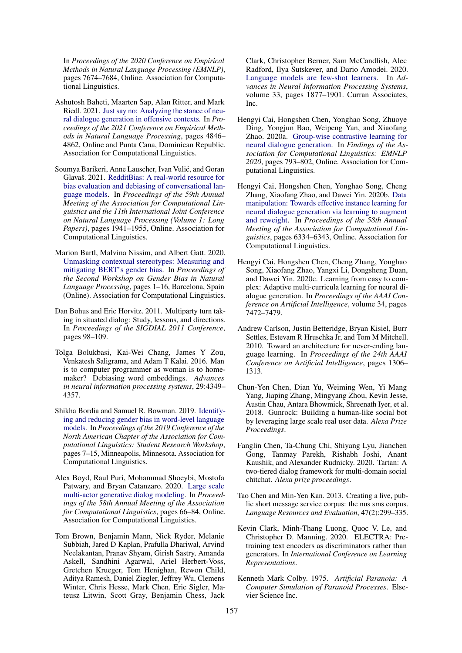In *Proceedings of the 2020 Conference on Empirical Methods in Natural Language Processing (EMNLP)*, pages 7674–7684, Online. Association for Computational Linguistics.

- <span id="page-9-11"></span>Ashutosh Baheti, Maarten Sap, Alan Ritter, and Mark Riedl. 2021. [Just say no: Analyzing the stance of neu](https://doi.org/10.18653/v1/2021.emnlp-main.397)[ral dialogue generation in offensive contexts.](https://doi.org/10.18653/v1/2021.emnlp-main.397) In *Proceedings of the 2021 Conference on Empirical Methods in Natural Language Processing*, pages 4846– 4862, Online and Punta Cana, Dominican Republic. Association for Computational Linguistics.
- <span id="page-9-15"></span>Soumya Barikeri, Anne Lauscher, Ivan Vulic, and Goran ´ Glavaš. 2021. [RedditBias: A real-world resource for](https://doi.org/10.18653/v1/2021.acl-long.151) [bias evaluation and debiasing of conversational lan](https://doi.org/10.18653/v1/2021.acl-long.151)[guage models.](https://doi.org/10.18653/v1/2021.acl-long.151) In *Proceedings of the 59th Annual Meeting of the Association for Computational Linguistics and the 11th International Joint Conference on Natural Language Processing (Volume 1: Long Papers)*, pages 1941–1955, Online. Association for Computational Linguistics.
- <span id="page-9-14"></span>Marion Bartl, Malvina Nissim, and Albert Gatt. 2020. [Unmasking contextual stereotypes: Measuring and](https://aclanthology.org/2020.gebnlp-1.1) [mitigating BERT's gender bias.](https://aclanthology.org/2020.gebnlp-1.1) In *Proceedings of the Second Workshop on Gender Bias in Natural Language Processing*, pages 1–16, Barcelona, Spain (Online). Association for Computational Linguistics.
- <span id="page-9-16"></span>Dan Bohus and Eric Horvitz. 2011. Multiparty turn taking in situated dialog: Study, lessons, and directions. In *Proceedings of the SIGDIAL 2011 Conference*, pages 98–109.
- <span id="page-9-12"></span>Tolga Bolukbasi, Kai-Wei Chang, James Y Zou, Venkatesh Saligrama, and Adam T Kalai. 2016. Man is to computer programmer as woman is to homemaker? Debiasing word embeddings. *Advances in neural information processing systems*, 29:4349– 4357.
- <span id="page-9-13"></span>Shikha Bordia and Samuel R. Bowman. 2019. [Identify](https://doi.org/10.18653/v1/N19-3002)[ing and reducing gender bias in word-level language](https://doi.org/10.18653/v1/N19-3002) [models.](https://doi.org/10.18653/v1/N19-3002) In *Proceedings of the 2019 Conference of the North American Chapter of the Association for Computational Linguistics: Student Research Workshop*, pages 7–15, Minneapolis, Minnesota. Association for Computational Linguistics.
- <span id="page-9-9"></span>Alex Boyd, Raul Puri, Mohammad Shoeybi, Mostofa Patwary, and Bryan Catanzaro. 2020. [Large scale](https://doi.org/10.18653/v1/2020.acl-main.8) [multi-actor generative dialog modeling.](https://doi.org/10.18653/v1/2020.acl-main.8) In *Proceedings of the 58th Annual Meeting of the Association for Computational Linguistics*, pages 66–84, Online. Association for Computational Linguistics.
- <span id="page-9-8"></span>Tom Brown, Benjamin Mann, Nick Ryder, Melanie Subbiah, Jared D Kaplan, Prafulla Dhariwal, Arvind Neelakantan, Pranav Shyam, Girish Sastry, Amanda Askell, Sandhini Agarwal, Ariel Herbert-Voss, Gretchen Krueger, Tom Henighan, Rewon Child, Aditya Ramesh, Daniel Ziegler, Jeffrey Wu, Clemens Winter, Chris Hesse, Mark Chen, Eric Sigler, Mateusz Litwin, Scott Gray, Benjamin Chess, Jack

Clark, Christopher Berner, Sam McCandlish, Alec Radford, Ilya Sutskever, and Dario Amodei. 2020. [Language models are few-shot learners.](https://proceedings.neurips.cc/paper/2020/file/1457c0d6bfcb4967418bfb8ac142f64a-Paper.pdf) In *Advances in Neural Information Processing Systems*, volume 33, pages 1877–1901. Curran Associates, Inc.

- <span id="page-9-6"></span>Hengyi Cai, Hongshen Chen, Yonghao Song, Zhuoye Ding, Yongjun Bao, Weipeng Yan, and Xiaofang Zhao. 2020a. [Group-wise contrastive learning for](https://www.aclweb.org/anthology/2020.findings-emnlp.70) [neural dialogue generation.](https://www.aclweb.org/anthology/2020.findings-emnlp.70) In *Findings of the Association for Computational Linguistics: EMNLP 2020*, pages 793–802, Online. Association for Computational Linguistics.
- <span id="page-9-10"></span>Hengyi Cai, Hongshen Chen, Yonghao Song, Cheng Zhang, Xiaofang Zhao, and Dawei Yin. 2020b. [Data](https://doi.org/10.18653/v1/2020.acl-main.564) [manipulation: Towards effective instance learning for](https://doi.org/10.18653/v1/2020.acl-main.564) [neural dialogue generation via learning to augment](https://doi.org/10.18653/v1/2020.acl-main.564) [and reweight.](https://doi.org/10.18653/v1/2020.acl-main.564) In *Proceedings of the 58th Annual Meeting of the Association for Computational Linguistics*, pages 6334–6343, Online. Association for Computational Linguistics.
- <span id="page-9-7"></span>Hengyi Cai, Hongshen Chen, Cheng Zhang, Yonghao Song, Xiaofang Zhao, Yangxi Li, Dongsheng Duan, and Dawei Yin. 2020c. Learning from easy to complex: Adaptive multi-curricula learning for neural dialogue generation. In *Proceedings of the AAAI Conference on Artificial Intelligence*, volume 34, pages 7472–7479.
- <span id="page-9-3"></span>Andrew Carlson, Justin Betteridge, Bryan Kisiel, Burr Settles, Estevam R Hruschka Jr, and Tom M Mitchell. 2010. Toward an architecture for never-ending language learning. In *Proceedings of the 24th AAAI Conference on Artificial Intelligence*, pages 1306– 1313.
- <span id="page-9-4"></span>Chun-Yen Chen, Dian Yu, Weiming Wen, Yi Mang Yang, Jiaping Zhang, Mingyang Zhou, Kevin Jesse, Austin Chau, Antara Bhowmick, Shreenath Iyer, et al. 2018. Gunrock: Building a human-like social bot by leveraging large scale real user data. *Alexa Prize Proceedings*.
- <span id="page-9-5"></span>Fanglin Chen, Ta-Chung Chi, Shiyang Lyu, Jianchen Gong, Tanmay Parekh, Rishabh Joshi, Anant Kaushik, and Alexander Rudnicky. 2020. Tartan: A two-tiered dialog framework for multi-domain social chitchat. *Alexa prize proceedings*.
- <span id="page-9-0"></span>Tao Chen and Min-Yen Kan. 2013. Creating a live, public short message service corpus: the nus sms corpus. *Language Resources and Evaluation*, 47(2):299–335.
- <span id="page-9-1"></span>Kevin Clark, Minh-Thang Luong, Quoc V. Le, and Christopher D. Manning. 2020. ELECTRA: Pretraining text encoders as discriminators rather than generators. In *International Conference on Learning Representations*.
- <span id="page-9-2"></span>Kenneth Mark Colby. 1975. *Artificial Paranoia: A Computer Simulation of Paranoid Processes*. Elsevier Science Inc.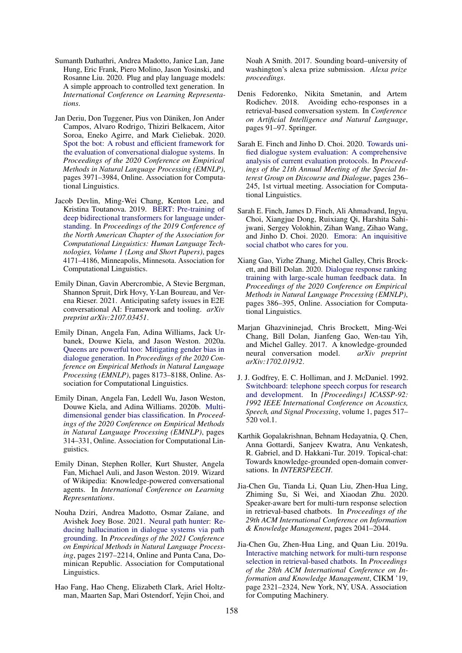- <span id="page-10-12"></span>Sumanth Dathathri, Andrea Madotto, Janice Lan, Jane Hung, Eric Frank, Piero Molino, Jason Yosinski, and Rosanne Liu. 2020. Plug and play language models: A simple approach to controlled text generation. In *International Conference on Learning Representations*.
- <span id="page-10-3"></span>Jan Deriu, Don Tuggener, Pius von Däniken, Jon Ander Campos, Alvaro Rodrigo, Thiziri Belkacem, Aitor Soroa, Eneko Agirre, and Mark Cieliebak. 2020. [Spot the bot: A robust and efficient framework for](https://www.aclweb.org/anthology/2020.emnlp-main.326) [the evaluation of conversational dialogue systems.](https://www.aclweb.org/anthology/2020.emnlp-main.326) In *Proceedings of the 2020 Conference on Empirical Methods in Natural Language Processing (EMNLP)*, pages 3971–3984, Online. Association for Computational Linguistics.
- <span id="page-10-0"></span>Jacob Devlin, Ming-Wei Chang, Kenton Lee, and Kristina Toutanova. 2019. [BERT: Pre-training of](https://doi.org/10.18653/v1/N19-1423) [deep bidirectional transformers for language under](https://doi.org/10.18653/v1/N19-1423)[standing.](https://doi.org/10.18653/v1/N19-1423) In *Proceedings of the 2019 Conference of the North American Chapter of the Association for Computational Linguistics: Human Language Technologies, Volume 1 (Long and Short Papers)*, pages 4171–4186, Minneapolis, Minnesota. Association for Computational Linguistics.
- <span id="page-10-14"></span>Emily Dinan, Gavin Abercrombie, A Stevie Bergman, Shannon Spruit, Dirk Hovy, Y-Lan Boureau, and Verena Rieser. 2021. Anticipating safety issues in E2E conversational AI: Framework and tooling. *arXiv preprint arXiv:2107.03451*.
- <span id="page-10-16"></span>Emily Dinan, Angela Fan, Adina Williams, Jack Urbanek, Douwe Kiela, and Jason Weston. 2020a. [Queens are powerful too: Mitigating gender bias in](https://doi.org/10.18653/v1/2020.emnlp-main.656) [dialogue generation.](https://doi.org/10.18653/v1/2020.emnlp-main.656) In *Proceedings of the 2020 Conference on Empirical Methods in Natural Language Processing (EMNLP)*, pages 8173–8188, Online. Association for Computational Linguistics.
- <span id="page-10-15"></span>Emily Dinan, Angela Fan, Ledell Wu, Jason Weston, Douwe Kiela, and Adina Williams. 2020b. [Multi](https://doi.org/10.18653/v1/2020.emnlp-main.23)[dimensional gender bias classification.](https://doi.org/10.18653/v1/2020.emnlp-main.23) In *Proceedings of the 2020 Conference on Empirical Methods in Natural Language Processing (EMNLP)*, pages 314–331, Online. Association for Computational Linguistics.
- <span id="page-10-4"></span>Emily Dinan, Stephen Roller, Kurt Shuster, Angela Fan, Michael Auli, and Jason Weston. 2019. Wizard of Wikipedia: Knowledge-powered conversational agents. In *International Conference on Learning Representations*.
- <span id="page-10-8"></span>Nouha Dziri, Andrea Madotto, Osmar Zaïane, and Avishek Joey Bose. 2021. [Neural path hunter: Re](https://aclanthology.org/2021.emnlp-main.168)[ducing hallucination in dialogue systems via path](https://aclanthology.org/2021.emnlp-main.168) [grounding.](https://aclanthology.org/2021.emnlp-main.168) In *Proceedings of the 2021 Conference on Empirical Methods in Natural Language Processing*, pages 2197–2214, Online and Punta Cana, Dominican Republic. Association for Computational Linguistics.
- <span id="page-10-9"></span>Hao Fang, Hao Cheng, Elizabeth Clark, Ariel Holtzman, Maarten Sap, Mari Ostendorf, Yejin Choi, and

Noah A Smith. 2017. Sounding board–university of washington's alexa prize submission. *Alexa prize proceedings*.

- <span id="page-10-13"></span>Denis Fedorenko, Nikita Smetanin, and Artem Rodichev. 2018. Avoiding echo-responses in a retrieval-based conversation system. In *Conference on Artificial Intelligence and Natural Language*, pages 91–97. Springer.
- <span id="page-10-1"></span>Sarah E. Finch and Jinho D. Choi. 2020. [Towards uni](https://www.aclweb.org/anthology/2020.sigdial-1.29)[fied dialogue system evaluation: A comprehensive](https://www.aclweb.org/anthology/2020.sigdial-1.29) [analysis of current evaluation protocols.](https://www.aclweb.org/anthology/2020.sigdial-1.29) In *Proceedings of the 21th Annual Meeting of the Special Interest Group on Discourse and Dialogue*, pages 236– 245, 1st virtual meeting. Association for Computational Linguistics.
- <span id="page-10-10"></span>Sarah E. Finch, James D. Finch, Ali Ahmadvand, Ingyu, Choi, Xiangjue Dong, Ruixiang Qi, Harshita Sahijwani, Sergey Volokhin, Zihan Wang, Zihao Wang, and Jinho D. Choi. 2020. [Emora: An inquisitive](http://arxiv.org/abs/2009.04617) [social chatbot who cares for you.](http://arxiv.org/abs/2009.04617)
- <span id="page-10-7"></span>Xiang Gao, Yizhe Zhang, Michel Galley, Chris Brockett, and Bill Dolan. 2020. [Dialogue response ranking](https://doi.org/10.18653/v1/2020.emnlp-main.28) [training with large-scale human feedback data.](https://doi.org/10.18653/v1/2020.emnlp-main.28) In *Proceedings of the 2020 Conference on Empirical Methods in Natural Language Processing (EMNLP)*, pages 386–395, Online. Association for Computational Linguistics.
- <span id="page-10-2"></span>Marjan Ghazvininejad, Chris Brockett, Ming-Wei Chang, Bill Dolan, Jianfeng Gao, Wen-tau Yih, and Michel Galley. 2017. A knowledge-grounded neural conversation model. *arXiv preprint arXiv:1702.01932*.
- <span id="page-10-17"></span>J. J. Godfrey, E. C. Holliman, and J. McDaniel. 1992. [Switchboard: telephone speech corpus for research](https://doi.org/10.1109/ICASSP.1992.225858) [and development.](https://doi.org/10.1109/ICASSP.1992.225858) In *[Proceedings] ICASSP-92: 1992 IEEE International Conference on Acoustics, Speech, and Signal Processing*, volume 1, pages 517– 520 vol.1.
- <span id="page-10-5"></span>Karthik Gopalakrishnan, Behnam Hedayatnia, Q. Chen, Anna Gottardi, Sanjeev Kwatra, Anu Venkatesh, R. Gabriel, and D. Hakkani-Tur. 2019. Topical-chat: Towards knowledge-grounded open-domain conversations. In *INTERSPEECH*.
- <span id="page-10-11"></span>Jia-Chen Gu, Tianda Li, Quan Liu, Zhen-Hua Ling, Zhiming Su, Si Wei, and Xiaodan Zhu. 2020. Speaker-aware bert for multi-turn response selection in retrieval-based chatbots. In *Proceedings of the 29th ACM International Conference on Information & Knowledge Management*, pages 2041–2044.
- <span id="page-10-6"></span>Jia-Chen Gu, Zhen-Hua Ling, and Quan Liu. 2019a. [Interactive matching network for multi-turn response](https://doi.org/10.1145/3357384.3358140) [selection in retrieval-based chatbots.](https://doi.org/10.1145/3357384.3358140) In *Proceedings of the 28th ACM International Conference on Information and Knowledge Management*, CIKM '19, page 2321–2324, New York, NY, USA. Association for Computing Machinery.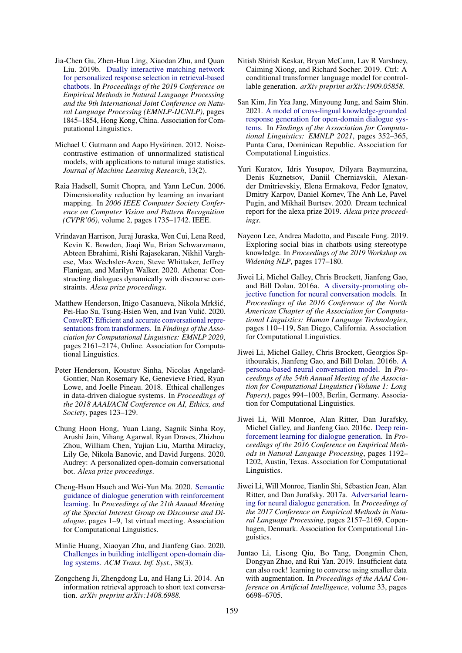- <span id="page-11-4"></span>Jia-Chen Gu, Zhen-Hua Ling, Xiaodan Zhu, and Quan Liu. 2019b. [Dually interactive matching network](https://doi.org/10.18653/v1/D19-1193) [for personalized response selection in retrieval-based](https://doi.org/10.18653/v1/D19-1193) [chatbots.](https://doi.org/10.18653/v1/D19-1193) In *Proceedings of the 2019 Conference on Empirical Methods in Natural Language Processing and the 9th International Joint Conference on Natural Language Processing (EMNLP-IJCNLP)*, pages 1845–1854, Hong Kong, China. Association for Computational Linguistics.
- <span id="page-11-12"></span>Michael U Gutmann and Aapo Hyvärinen. 2012. Noisecontrastive estimation of unnormalized statistical models, with applications to natural image statistics. *Journal of Machine Learning Research*, 13(2).
- <span id="page-11-11"></span>Raia Hadsell, Sumit Chopra, and Yann LeCun. 2006. Dimensionality reduction by learning an invariant mapping. In *2006 IEEE Computer Society Conference on Computer Vision and Pattern Recognition (CVPR'06)*, volume 2, pages 1735–1742. IEEE.
- <span id="page-11-8"></span>Vrindavan Harrison, Juraj Juraska, Wen Cui, Lena Reed, Kevin K. Bowden, Jiaqi Wu, Brian Schwarzmann, Abteen Ebrahimi, Rishi Rajasekaran, Nikhil Varghese, Max Wechsler-Azen, Steve Whittaker, Jeffrey Flanigan, and Marilyn Walker. 2020. Athena: Constructing dialogues dynamically with discourse constraints. *Alexa prize proceedings*.
- <span id="page-11-15"></span>Matthew Henderson, Iñigo Casanueva, Nikola Mrkšic,´ Pei-Hao Su, Tsung-Hsien Wen, and Ivan Vulić. 2020. [ConveRT: Efficient and accurate conversational repre](https://doi.org/10.18653/v1/2020.findings-emnlp.196)[sentations from transformers.](https://doi.org/10.18653/v1/2020.findings-emnlp.196) In *Findings of the Association for Computational Linguistics: EMNLP 2020*, pages 2161–2174, Online. Association for Computational Linguistics.
- <span id="page-11-17"></span>Peter Henderson, Koustuv Sinha, Nicolas Angelard-Gontier, Nan Rosemary Ke, Genevieve Fried, Ryan Lowe, and Joelle Pineau. 2018. Ethical challenges in data-driven dialogue systems. In *Proceedings of the 2018 AAAI/ACM Conference on AI, Ethics, and Society*, pages 123–129.
- <span id="page-11-10"></span>Chung Hoon Hong, Yuan Liang, Sagnik Sinha Roy, Arushi Jain, Vihang Agarwal, Ryan Draves, Zhizhou Zhou, William Chen, Yujian Liu, Martha Miracky, Lily Ge, Nikola Banovic, and David Jurgens. 2020. Audrey: A personalized open-domain conversational bot. *Alexa prize proceedings*.
- <span id="page-11-6"></span>Cheng-Hsun Hsueh and Wei-Yun Ma. 2020. [Semantic](https://www.aclweb.org/anthology/2020.sigdial-1.1) [guidance of dialogue generation with reinforcement](https://www.aclweb.org/anthology/2020.sigdial-1.1) [learning.](https://www.aclweb.org/anthology/2020.sigdial-1.1) In *Proceedings of the 21th Annual Meeting of the Special Interest Group on Discourse and Dialogue*, pages 1–9, 1st virtual meeting. Association for Computational Linguistics.
- <span id="page-11-0"></span>Minlie Huang, Xiaoyan Zhu, and Jianfeng Gao. 2020. [Challenges in building intelligent open-domain dia](https://doi.org/10.1145/3383123)[log systems.](https://doi.org/10.1145/3383123) *ACM Trans. Inf. Syst.*, 38(3).
- <span id="page-11-3"></span>Zongcheng Ji, Zhengdong Lu, and Hang Li. 2014. An information retrieval approach to short text conversation. *arXiv preprint arXiv:1408.6988*.
- <span id="page-11-7"></span>Nitish Shirish Keskar, Bryan McCann, Lav R Varshney, Caiming Xiong, and Richard Socher. 2019. Ctrl: A conditional transformer language model for controllable generation. *arXiv preprint arXiv:1909.05858*.
- <span id="page-11-2"></span>San Kim, Jin Yea Jang, Minyoung Jung, and Saim Shin. 2021. [A model of cross-lingual knowledge-grounded](https://aclanthology.org/2021.findings-emnlp.33) [response generation for open-domain dialogue sys](https://aclanthology.org/2021.findings-emnlp.33)[tems.](https://aclanthology.org/2021.findings-emnlp.33) In *Findings of the Association for Computational Linguistics: EMNLP 2021*, pages 352–365, Punta Cana, Dominican Republic. Association for Computational Linguistics.
- <span id="page-11-9"></span>Yuri Kuratov, Idris Yusupov, Dilyara Baymurzina, Denis Kuznetsov, Daniil Cherniavskii, Alexander Dmitrievskiy, Elena Ermakova, Fedor Ignatov, Dmitry Karpov, Daniel Kornev, The Anh Le, Pavel Pugin, and Mikhail Burtsev. 2020. Dream technical report for the alexa prize 2019. *Alexa prize proceedings*.
- <span id="page-11-18"></span>Nayeon Lee, Andrea Madotto, and Pascale Fung. 2019. Exploring social bias in chatbots using stereotype knowledge. In *Proceedings of the 2019 Workshop on Widening NLP*, pages 177–180.
- <span id="page-11-1"></span>Jiwei Li, Michel Galley, Chris Brockett, Jianfeng Gao, and Bill Dolan. 2016a. [A diversity-promoting ob](https://doi.org/10.18653/v1/N16-1014)[jective function for neural conversation models.](https://doi.org/10.18653/v1/N16-1014) In *Proceedings of the 2016 Conference of the North American Chapter of the Association for Computational Linguistics: Human Language Technologies*, pages 110–119, San Diego, California. Association for Computational Linguistics.
- <span id="page-11-5"></span>Jiwei Li, Michel Galley, Chris Brockett, Georgios Spithourakis, Jianfeng Gao, and Bill Dolan. 2016b. [A](https://doi.org/10.18653/v1/P16-1094) [persona-based neural conversation model.](https://doi.org/10.18653/v1/P16-1094) In *Proceedings of the 54th Annual Meeting of the Association for Computational Linguistics (Volume 1: Long Papers)*, pages 994–1003, Berlin, Germany. Association for Computational Linguistics.
- <span id="page-11-13"></span>Jiwei Li, Will Monroe, Alan Ritter, Dan Jurafsky, Michel Galley, and Jianfeng Gao. 2016c. [Deep rein](https://doi.org/10.18653/v1/D16-1127)[forcement learning for dialogue generation.](https://doi.org/10.18653/v1/D16-1127) In *Proceedings of the 2016 Conference on Empirical Methods in Natural Language Processing*, pages 1192– 1202, Austin, Texas. Association for Computational Linguistics.
- <span id="page-11-14"></span>Jiwei Li, Will Monroe, Tianlin Shi, Sébastien Jean, Alan Ritter, and Dan Jurafsky. 2017a. [Adversarial learn](https://doi.org/10.18653/v1/D17-1230)[ing for neural dialogue generation.](https://doi.org/10.18653/v1/D17-1230) In *Proceedings of the 2017 Conference on Empirical Methods in Natural Language Processing*, pages 2157–2169, Copenhagen, Denmark. Association for Computational Linguistics.
- <span id="page-11-16"></span>Juntao Li, Lisong Qiu, Bo Tang, Dongmin Chen, Dongyan Zhao, and Rui Yan. 2019. Insufficient data can also rock! learning to converse using smaller data with augmentation. In *Proceedings of the AAAI Conference on Artificial Intelligence*, volume 33, pages 6698–6705.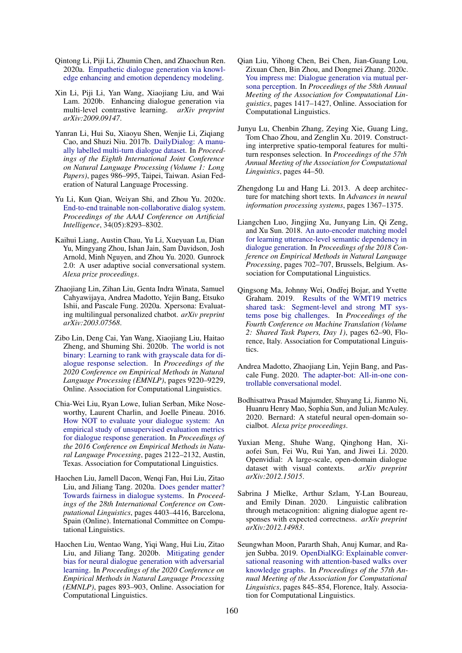- <span id="page-12-11"></span>Qintong Li, Piji Li, Zhumin Chen, and Zhaochun Ren. 2020a. [Empathetic dialogue generation via knowl](http://arxiv.org/abs/2009.09708)[edge enhancing and emotion dependency modeling.](http://arxiv.org/abs/2009.09708)
- <span id="page-12-10"></span>Xin Li, Piji Li, Yan Wang, Xiaojiang Liu, and Wai Lam. 2020b. Enhancing dialogue generation via multi-level contrastive learning. *arXiv preprint arXiv:2009.09147*.
- <span id="page-12-2"></span>Yanran Li, Hui Su, Xiaoyu Shen, Wenjie Li, Ziqiang Cao, and Shuzi Niu. 2017b. [DailyDialog: A manu](https://aclanthology.org/I17-1099)[ally labelled multi-turn dialogue dataset.](https://aclanthology.org/I17-1099) In *Proceedings of the Eighth International Joint Conference on Natural Language Processing (Volume 1: Long Papers)*, pages 986–995, Taipei, Taiwan. Asian Federation of Natural Language Processing.
- <span id="page-12-3"></span>Yu Li, Kun Qian, Weiyan Shi, and Zhou Yu. 2020c. [End-to-end trainable non-collaborative dialog system.](https://doi.org/10.1609/aaai.v34i05.6345) *Proceedings of the AAAI Conference on Artificial Intelligence*, 34(05):8293–8302.
- <span id="page-12-13"></span>Kaihui Liang, Austin Chau, Yu Li, Xueyuan Lu, Dian Yu, Mingyang Zhou, Ishan Jain, Sam Davidson, Josh Arnold, Minh Nguyen, and Zhou Yu. 2020. Gunrock 2.0: A user adaptive social conversational system. *Alexa prize proceedings*.
- <span id="page-12-4"></span>Zhaojiang Lin, Zihan Liu, Genta Indra Winata, Samuel Cahyawijaya, Andrea Madotto, Yejin Bang, Etsuko Ishii, and Pascale Fung. 2020a. Xpersona: Evaluating multilingual personalized chatbot. *arXiv preprint arXiv:2003.07568*.
- <span id="page-12-8"></span>Zibo Lin, Deng Cai, Yan Wang, Xiaojiang Liu, Haitao Zheng, and Shuming Shi. 2020b. [The world is not](https://www.aclweb.org/anthology/2020.emnlp-main.741) [binary: Learning to rank with grayscale data for di](https://www.aclweb.org/anthology/2020.emnlp-main.741)[alogue response selection.](https://www.aclweb.org/anthology/2020.emnlp-main.741) In *Proceedings of the 2020 Conference on Empirical Methods in Natural Language Processing (EMNLP)*, pages 9220–9229, Online. Association for Computational Linguistics.
- <span id="page-12-0"></span>Chia-Wei Liu, Ryan Lowe, Iulian Serban, Mike Noseworthy, Laurent Charlin, and Joelle Pineau. 2016. [How NOT to evaluate your dialogue system: An](https://doi.org/10.18653/v1/D16-1230) [empirical study of unsupervised evaluation metrics](https://doi.org/10.18653/v1/D16-1230) [for dialogue response generation.](https://doi.org/10.18653/v1/D16-1230) In *Proceedings of the 2016 Conference on Empirical Methods in Natural Language Processing*, pages 2122–2132, Austin, Texas. Association for Computational Linguistics.
- <span id="page-12-17"></span>Haochen Liu, Jamell Dacon, Wenqi Fan, Hui Liu, Zitao Liu, and Jiliang Tang. 2020a. [Does gender matter?](https://doi.org/10.18653/v1/2020.coling-main.390) [Towards fairness in dialogue systems.](https://doi.org/10.18653/v1/2020.coling-main.390) In *Proceedings of the 28th International Conference on Computational Linguistics*, pages 4403–4416, Barcelona, Spain (Online). International Committee on Computational Linguistics.
- <span id="page-12-18"></span>Haochen Liu, Wentao Wang, Yiqi Wang, Hui Liu, Zitao Liu, and Jiliang Tang. 2020b. [Mitigating gender](https://doi.org/10.18653/v1/2020.emnlp-main.64) [bias for neural dialogue generation with adversarial](https://doi.org/10.18653/v1/2020.emnlp-main.64) [learning.](https://doi.org/10.18653/v1/2020.emnlp-main.64) In *Proceedings of the 2020 Conference on Empirical Methods in Natural Language Processing (EMNLP)*, pages 893–903, Online. Association for Computational Linguistics.
- <span id="page-12-15"></span>Qian Liu, Yihong Chen, Bei Chen, Jian-Guang Lou, Zixuan Chen, Bin Zhou, and Dongmei Zhang. 2020c. [You impress me: Dialogue generation via mutual per](https://doi.org/10.18653/v1/2020.acl-main.131)[sona perception.](https://doi.org/10.18653/v1/2020.acl-main.131) In *Proceedings of the 58th Annual Meeting of the Association for Computational Linguistics*, pages 1417–1427, Online. Association for Computational Linguistics.
- <span id="page-12-7"></span>Junyu Lu, Chenbin Zhang, Zeying Xie, Guang Ling, Tom Chao Zhou, and Zenglin Xu. 2019. Constructing interpretive spatio-temporal features for multiturn responses selection. In *Proceedings of the 57th Annual Meeting of the Association for Computational Linguistics*, pages 44–50.
- <span id="page-12-6"></span>Zhengdong Lu and Hang Li. 2013. A deep architecture for matching short texts. In *Advances in neural information processing systems*, pages 1367–1375.
- <span id="page-12-9"></span>Liangchen Luo, Jingjing Xu, Junyang Lin, Qi Zeng, and Xu Sun. 2018. [An auto-encoder matching model](https://doi.org/10.18653/v1/D18-1075) [for learning utterance-level semantic dependency in](https://doi.org/10.18653/v1/D18-1075) [dialogue generation.](https://doi.org/10.18653/v1/D18-1075) In *Proceedings of the 2018 Conference on Empirical Methods in Natural Language Processing*, pages 702–707, Brussels, Belgium. Association for Computational Linguistics.
- <span id="page-12-19"></span>Qingsong Ma, Johnny Wei, Ondřej Bojar, and Yvette Graham. 2019. [Results of the WMT19 metrics](https://doi.org/10.18653/v1/W19-5302) [shared task: Segment-level and strong MT sys](https://doi.org/10.18653/v1/W19-5302)[tems pose big challenges.](https://doi.org/10.18653/v1/W19-5302) In *Proceedings of the Fourth Conference on Machine Translation (Volume 2: Shared Task Papers, Day 1)*, pages 62–90, Florence, Italy. Association for Computational Linguistics.
- <span id="page-12-12"></span>Andrea Madotto, Zhaojiang Lin, Yejin Bang, and Pascale Fung. 2020. [The adapter-bot: All-in-one con](http://arxiv.org/abs/2008.12579)[trollable conversational model.](http://arxiv.org/abs/2008.12579)
- <span id="page-12-14"></span>Bodhisattwa Prasad Majumder, Shuyang Li, Jianmo Ni, Huanru Henry Mao, Sophia Sun, and Julian McAuley. 2020. Bernard: A stateful neural open-domain socialbot. *Alexa prize proceedings*.
- <span id="page-12-5"></span>Yuxian Meng, Shuhe Wang, Qinghong Han, Xiaofei Sun, Fei Wu, Rui Yan, and Jiwei Li. 2020. Openvidial: A large-scale, open-domain dialogue dataset with visual contexts. *arXiv preprint arXiv:2012.15015*.
- <span id="page-12-16"></span>Sabrina J Mielke, Arthur Szlam, Y-Lan Boureau, and Emily Dinan. 2020. Linguistic calibration through metacognition: aligning dialogue agent responses with expected correctness. *arXiv preprint arXiv:2012.14983*.
- <span id="page-12-1"></span>Seungwhan Moon, Pararth Shah, Anuj Kumar, and Rajen Subba. 2019. [OpenDialKG: Explainable conver](https://doi.org/10.18653/v1/P19-1081)[sational reasoning with attention-based walks over](https://doi.org/10.18653/v1/P19-1081) [knowledge graphs.](https://doi.org/10.18653/v1/P19-1081) In *Proceedings of the 57th Annual Meeting of the Association for Computational Linguistics*, pages 845–854, Florence, Italy. Association for Computational Linguistics.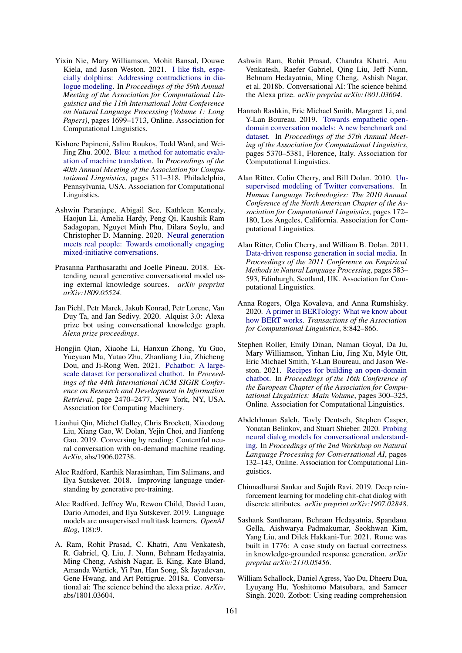- <span id="page-13-15"></span>Yixin Nie, Mary Williamson, Mohit Bansal, Douwe Kiela, and Jason Weston. 2021. [I like fish, espe](https://doi.org/10.18653/v1/2021.acl-long.134)[cially dolphins: Addressing contradictions in dia](https://doi.org/10.18653/v1/2021.acl-long.134)[logue modeling.](https://doi.org/10.18653/v1/2021.acl-long.134) In *Proceedings of the 59th Annual Meeting of the Association for Computational Linguistics and the 11th International Joint Conference on Natural Language Processing (Volume 1: Long Papers)*, pages 1699–1713, Online. Association for Computational Linguistics.
- <span id="page-13-1"></span>Kishore Papineni, Salim Roukos, Todd Ward, and Wei-Jing Zhu. 2002. [Bleu: a method for automatic evalu](https://doi.org/10.3115/1073083.1073135)[ation of machine translation.](https://doi.org/10.3115/1073083.1073135) In *Proceedings of the 40th Annual Meeting of the Association for Computational Linguistics*, pages 311–318, Philadelphia, Pennsylvania, USA. Association for Computational Linguistics.
- <span id="page-13-9"></span>Ashwin Paranjape, Abigail See, Kathleen Kenealy, Haojun Li, Amelia Hardy, Peng Qi, Kaushik Ram Sadagopan, Nguyet Minh Phu, Dilara Soylu, and Christopher D. Manning. 2020. [Neural generation](http://arxiv.org/abs/2008.12348) [meets real people: Towards emotionally engaging](http://arxiv.org/abs/2008.12348) [mixed-initiative conversations.](http://arxiv.org/abs/2008.12348)
- <span id="page-13-7"></span>Prasanna Parthasarathi and Joelle Pineau. 2018. Extending neural generative conversational model using external knowledge sources. *arXiv preprint arXiv:1809.05524*.
- <span id="page-13-11"></span>Jan Pichl, Petr Marek, Jakub Konrad, Petr Lorenc, Van Duy Ta, and Jan Sedivy. 2020. Alquist 3.0: Alexa prize bot using conversational knowledge graph. *Alexa prize proceedings*.
- <span id="page-13-6"></span>Hongjin Qian, Xiaohe Li, Hanxun Zhong, Yu Guo, Yueyuan Ma, Yutao Zhu, Zhanliang Liu, Zhicheng Dou, and Ji-Rong Wen. 2021. [Pchatbot: A large](https://doi.org/10.1145/3404835.3463239)[scale dataset for personalized chatbot.](https://doi.org/10.1145/3404835.3463239) In *Proceedings of the 44th International ACM SIGIR Conference on Research and Development in Information Retrieval*, page 2470–2477, New York, NY, USA. Association for Computing Machinery.
- <span id="page-13-4"></span>Lianhui Qin, Michel Galley, Chris Brockett, Xiaodong Liu, Xiang Gao, W. Dolan, Yejin Choi, and Jianfeng Gao. 2019. Conversing by reading: Contentful neural conversation with on-demand machine reading. *ArXiv*, abs/1906.02738.
- <span id="page-13-0"></span>Alec Radford, Karthik Narasimhan, Tim Salimans, and Ilya Sutskever. 2018. Improving language understanding by generative pre-training.
- <span id="page-13-10"></span>Alec Radford, Jeffrey Wu, Rewon Child, David Luan, Dario Amodei, and Ilya Sutskever. 2019. Language models are unsupervised multitask learners. *OpenAI Blog*, 1(8):9.
- <span id="page-13-8"></span>A. Ram, Rohit Prasad, C. Khatri, Anu Venkatesh, R. Gabriel, Q. Liu, J. Nunn, Behnam Hedayatnia, Ming Cheng, Ashish Nagar, E. King, Kate Bland, Amanda Wartick, Yi Pan, Han Song, Sk Jayadevan, Gene Hwang, and Art Pettigrue. 2018a. Conversational ai: The science behind the alexa prize. *ArXiv*, abs/1801.03604.
- <span id="page-13-2"></span>Ashwin Ram, Rohit Prasad, Chandra Khatri, Anu Venkatesh, Raefer Gabriel, Qing Liu, Jeff Nunn, Behnam Hedayatnia, Ming Cheng, Ashish Nagar, et al. 2018b. Conversational AI: The science behind the Alexa prize. *arXiv preprint arXiv:1801.03604*.
- <span id="page-13-5"></span>Hannah Rashkin, Eric Michael Smith, Margaret Li, and Y-Lan Boureau. 2019. [Towards empathetic open](https://doi.org/10.18653/v1/P19-1534)[domain conversation models: A new benchmark and](https://doi.org/10.18653/v1/P19-1534) [dataset.](https://doi.org/10.18653/v1/P19-1534) In *Proceedings of the 57th Annual Meeting of the Association for Computational Linguistics*, pages 5370–5381, Florence, Italy. Association for Computational Linguistics.
- <span id="page-13-3"></span>Alan Ritter, Colin Cherry, and Bill Dolan. 2010. [Un](https://www.aclweb.org/anthology/N10-1020)[supervised modeling of Twitter conversations.](https://www.aclweb.org/anthology/N10-1020) In *Human Language Technologies: The 2010 Annual Conference of the North American Chapter of the Association for Computational Linguistics*, pages 172– 180, Los Angeles, California. Association for Computational Linguistics.
- <span id="page-13-14"></span>Alan Ritter, Colin Cherry, and William B. Dolan. 2011. [Data-driven response generation in social media.](https://aclanthology.org/D11-1054) In *Proceedings of the 2011 Conference on Empirical Methods in Natural Language Processing*, pages 583– 593, Edinburgh, Scotland, UK. Association for Computational Linguistics.
- <span id="page-13-18"></span>Anna Rogers, Olga Kovaleva, and Anna Rumshisky. 2020. [A primer in BERTology: What we know about](https://doi.org/10.1162/tacl_a_00349) [how BERT works.](https://doi.org/10.1162/tacl_a_00349) *Transactions of the Association for Computational Linguistics*, 8:842–866.
- <span id="page-13-17"></span>Stephen Roller, Emily Dinan, Naman Goyal, Da Ju, Mary Williamson, Yinhan Liu, Jing Xu, Myle Ott, Eric Michael Smith, Y-Lan Boureau, and Jason Weston. 2021. [Recipes for building an open-domain](https://doi.org/10.18653/v1/2021.eacl-main.24) [chatbot.](https://doi.org/10.18653/v1/2021.eacl-main.24) In *Proceedings of the 16th Conference of the European Chapter of the Association for Computational Linguistics: Main Volume*, pages 300–325, Online. Association for Computational Linguistics.
- <span id="page-13-19"></span>Abdelrhman Saleh, Tovly Deutsch, Stephen Casper, Yonatan Belinkov, and Stuart Shieber. 2020. [Probing](https://doi.org/10.18653/v1/2020.nlp4convai-1.15) [neural dialog models for conversational understand](https://doi.org/10.18653/v1/2020.nlp4convai-1.15)[ing.](https://doi.org/10.18653/v1/2020.nlp4convai-1.15) In *Proceedings of the 2nd Workshop on Natural Language Processing for Conversational AI*, pages 132–143, Online. Association for Computational Linguistics.
- <span id="page-13-13"></span>Chinnadhurai Sankar and Sujith Ravi. 2019. Deep reinforcement learning for modeling chit-chat dialog with discrete attributes. *arXiv preprint arXiv:1907.02848*.
- <span id="page-13-16"></span>Sashank Santhanam, Behnam Hedayatnia, Spandana Gella, Aishwarya Padmakumar, Seokhwan Kim, Yang Liu, and Dilek Hakkani-Tur. 2021. Rome was built in 1776: A case study on factual correctness in knowledge-grounded response generation. *arXiv preprint arXiv:2110.05456*.
- <span id="page-13-12"></span>William Schallock, Daniel Agress, Yao Du, Dheeru Dua, Lyuyang Hu, Yoshitomo Matsubara, and Sameer Singh. 2020. Zotbot: Using reading comprehension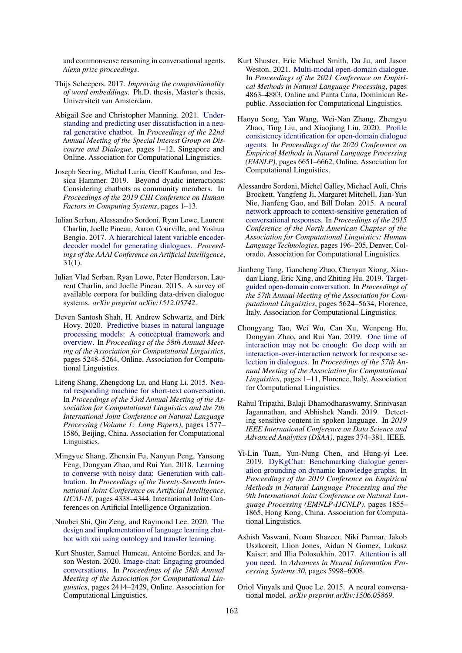and commonsense reasoning in conversational agents. *Alexa prize proceedings*.

- <span id="page-14-10"></span>Thijs Scheepers. 2017. *Improving the compositionality of word embeddings*. Ph.D. thesis, Master's thesis, Universiteit van Amsterdam.
- <span id="page-14-15"></span>Abigail See and Christopher Manning. 2021. [Under](https://aclanthology.org/2021.sigdial-1.1)[standing and predicting user dissatisfaction in a neu](https://aclanthology.org/2021.sigdial-1.1)[ral generative chatbot.](https://aclanthology.org/2021.sigdial-1.1) In *Proceedings of the 22nd Annual Meeting of the Special Interest Group on Discourse and Dialogue*, pages 1–12, Singapore and Online. Association for Computational Linguistics.
- <span id="page-14-18"></span>Joseph Seering, Michal Luria, Geoff Kaufman, and Jessica Hammer. 2019. Beyond dyadic interactions: Considering chatbots as community members. In *Proceedings of the 2019 CHI Conference on Human Factors in Computing Systems*, pages 1–13.
- <span id="page-14-11"></span>Iulian Serban, Alessandro Sordoni, Ryan Lowe, Laurent Charlin, Joelle Pineau, Aaron Courville, and Yoshua Bengio. 2017. [A hierarchical latent variable encoder](https://ojs.aaai.org/index.php/AAAI/article/view/10983)[decoder model for generating dialogues.](https://ojs.aaai.org/index.php/AAAI/article/view/10983) *Proceedings of the AAAI Conference on Artificial Intelligence*,  $31(1)$ .
- <span id="page-14-0"></span>Iulian Vlad Serban, Ryan Lowe, Peter Henderson, Laurent Charlin, and Joelle Pineau. 2015. A survey of available corpora for building data-driven dialogue systems. *arXiv preprint arXiv:1512.05742*.
- <span id="page-14-17"></span>Deven Santosh Shah, H. Andrew Schwartz, and Dirk Hovy. 2020. [Predictive biases in natural language](https://doi.org/10.18653/v1/2020.acl-main.468) [processing models: A conceptual framework and](https://doi.org/10.18653/v1/2020.acl-main.468) [overview.](https://doi.org/10.18653/v1/2020.acl-main.468) In *Proceedings of the 58th Annual Meeting of the Association for Computational Linguistics*, pages 5248–5264, Online. Association for Computational Linguistics.
- <span id="page-14-2"></span>Lifeng Shang, Zhengdong Lu, and Hang Li. 2015. [Neu](https://doi.org/10.3115/v1/P15-1152)[ral responding machine for short-text conversation.](https://doi.org/10.3115/v1/P15-1152) In *Proceedings of the 53rd Annual Meeting of the Association for Computational Linguistics and the 7th International Joint Conference on Natural Language Processing (Volume 1: Long Papers)*, pages 1577– 1586, Beijing, China. Association for Computational Linguistics.
- <span id="page-14-13"></span>Mingyue Shang, Zhenxin Fu, Nanyun Peng, Yansong Feng, Dongyan Zhao, and Rui Yan. 2018. [Learning](https://doi.org/10.24963/ijcai.2018/603) [to converse with noisy data: Generation with cali](https://doi.org/10.24963/ijcai.2018/603)[bration.](https://doi.org/10.24963/ijcai.2018/603) In *Proceedings of the Twenty-Seventh International Joint Conference on Artificial Intelligence, IJCAI-18*, pages 4338–4344. International Joint Conferences on Artificial Intelligence Organization.
- <span id="page-14-14"></span>Nuobei Shi, Qin Zeng, and Raymond Lee. 2020. [The](http://arxiv.org/abs/2009.13984) [design and implementation of language learning chat](http://arxiv.org/abs/2009.13984)[bot with xai using ontology and transfer learning.](http://arxiv.org/abs/2009.13984)
- <span id="page-14-7"></span>Kurt Shuster, Samuel Humeau, Antoine Bordes, and Jason Weston. 2020. [Image-chat: Engaging grounded](https://doi.org/10.18653/v1/2020.acl-main.219) [conversations.](https://doi.org/10.18653/v1/2020.acl-main.219) In *Proceedings of the 58th Annual Meeting of the Association for Computational Linguistics*, pages 2414–2429, Online. Association for Computational Linguistics.
- <span id="page-14-12"></span>Kurt Shuster, Eric Michael Smith, Da Ju, and Jason Weston. 2021. [Multi-modal open-domain dialogue.](https://aclanthology.org/2021.emnlp-main.398) In *Proceedings of the 2021 Conference on Empirical Methods in Natural Language Processing*, pages 4863–4883, Online and Punta Cana, Dominican Republic. Association for Computational Linguistics.
- <span id="page-14-5"></span>Haoyu Song, Yan Wang, Wei-Nan Zhang, Zhengyu Zhao, Ting Liu, and Xiaojiang Liu. 2020. [Profile](https://doi.org/10.18653/v1/2020.emnlp-main.539) [consistency identification for open-domain dialogue](https://doi.org/10.18653/v1/2020.emnlp-main.539) [agents.](https://doi.org/10.18653/v1/2020.emnlp-main.539) In *Proceedings of the 2020 Conference on Empirical Methods in Natural Language Processing (EMNLP)*, pages 6651–6662, Online. Association for Computational Linguistics.
- <span id="page-14-3"></span>Alessandro Sordoni, Michel Galley, Michael Auli, Chris Brockett, Yangfeng Ji, Margaret Mitchell, Jian-Yun Nie, Jianfeng Gao, and Bill Dolan. 2015. [A neural](https://doi.org/10.3115/v1/N15-1020) [network approach to context-sensitive generation of](https://doi.org/10.3115/v1/N15-1020) [conversational responses.](https://doi.org/10.3115/v1/N15-1020) In *Proceedings of the 2015 Conference of the North American Chapter of the Association for Computational Linguistics: Human Language Technologies*, pages 196–205, Denver, Colorado. Association for Computational Linguistics.
- <span id="page-14-4"></span>Jianheng Tang, Tiancheng Zhao, Chenyan Xiong, Xiaodan Liang, Eric Xing, and Zhiting Hu. 2019. [Target](https://doi.org/10.18653/v1/P19-1565)[guided open-domain conversation.](https://doi.org/10.18653/v1/P19-1565) In *Proceedings of the 57th Annual Meeting of the Association for Computational Linguistics*, pages 5624–5634, Florence, Italy. Association for Computational Linguistics.
- <span id="page-14-8"></span>Chongyang Tao, Wei Wu, Can Xu, Wenpeng Hu, Dongyan Zhao, and Rui Yan. 2019. [One time of](https://doi.org/10.18653/v1/P19-1001) [interaction may not be enough: Go deep with an](https://doi.org/10.18653/v1/P19-1001) [interaction-over-interaction network for response se](https://doi.org/10.18653/v1/P19-1001)[lection in dialogues.](https://doi.org/10.18653/v1/P19-1001) In *Proceedings of the 57th Annual Meeting of the Association for Computational Linguistics*, pages 1–11, Florence, Italy. Association for Computational Linguistics.
- <span id="page-14-16"></span>Rahul Tripathi, Balaji Dhamodharaswamy, Srinivasan Jagannathan, and Abhishek Nandi. 2019. Detecting sensitive content in spoken language. In *2019 IEEE International Conference on Data Science and Advanced Analytics (DSAA)*, pages 374–381. IEEE.
- <span id="page-14-6"></span>Yi-Lin Tuan, Yun-Nung Chen, and Hung-yi Lee. 2019. [DyKgChat: Benchmarking dialogue gener](https://doi.org/10.18653/v1/D19-1194)[ation grounding on dynamic knowledge graphs.](https://doi.org/10.18653/v1/D19-1194) In *Proceedings of the 2019 Conference on Empirical Methods in Natural Language Processing and the 9th International Joint Conference on Natural Language Processing (EMNLP-IJCNLP)*, pages 1855– 1865, Hong Kong, China. Association for Computational Linguistics.
- <span id="page-14-9"></span>Ashish Vaswani, Noam Shazeer, Niki Parmar, Jakob Uszkoreit, Llion Jones, Aidan N Gomez, Lukasz Kaiser, and Illia Polosukhin. 2017. [Attention is all](http://papers.nips.cc/paper/7181-attention-is-all-you-need.pdf) [you need.](http://papers.nips.cc/paper/7181-attention-is-all-you-need.pdf) In *Advances in Neural Information Processing Systems 30*, pages 5998–6008.
- <span id="page-14-1"></span>Oriol Vinyals and Quoc Le. 2015. A neural conversational model. *arXiv preprint arXiv:1506.05869*.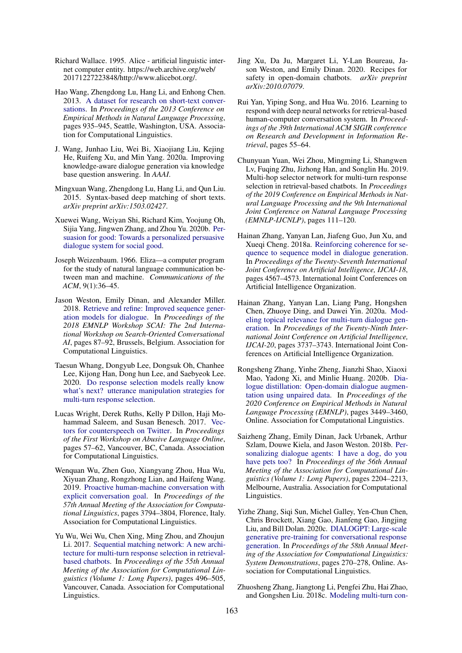- <span id="page-15-12"></span>Richard Wallace. 1995. Alice - artificial linguistic internet computer entity. https://web.archive.org/web/ 20171227223848/http://www.alicebot.org/.
- <span id="page-15-3"></span>Hao Wang, Zhengdong Lu, Hang Li, and Enhong Chen. 2013. [A dataset for research on short-text conver](https://www.aclweb.org/anthology/D13-1096)[sations.](https://www.aclweb.org/anthology/D13-1096) In *Proceedings of the 2013 Conference on Empirical Methods in Natural Language Processing*, pages 935–945, Seattle, Washington, USA. Association for Computational Linguistics.
- <span id="page-15-17"></span>J. Wang, Junhao Liu, Wei Bi, Xiaojiang Liu, Kejing He, Ruifeng Xu, and Min Yang. 2020a. Improving knowledge-aware dialogue generation via knowledge base question answering. In *AAAI*.
- <span id="page-15-6"></span>Mingxuan Wang, Zhengdong Lu, Hang Li, and Qun Liu. 2015. Syntax-based deep matching of short texts. *arXiv preprint arXiv:1503.02427*.
- <span id="page-15-2"></span>Xuewei Wang, Weiyan Shi, Richard Kim, Yoojung Oh, Sijia Yang, Jingwen Zhang, and Zhou Yu. 2020b. [Per](http://arxiv.org/abs/1906.06725)[suasion for good: Towards a personalized persuasive](http://arxiv.org/abs/1906.06725) [dialogue system for social good.](http://arxiv.org/abs/1906.06725)
- <span id="page-15-11"></span>Joseph Weizenbaum. 1966. Eliza—a computer program for the study of natural language communication between man and machine. *Communications of the ACM*, 9(1):36–45.
- <span id="page-15-14"></span>Jason Weston, Emily Dinan, and Alexander Miller. 2018. [Retrieve and refine: Improved sequence gener](https://doi.org/10.18653/v1/W18-5713)[ation models for dialogue.](https://doi.org/10.18653/v1/W18-5713) In *Proceedings of the 2018 EMNLP Workshop SCAI: The 2nd International Workshop on Search-Oriented Conversational AI*, pages 87–92, Brussels, Belgium. Association for Computational Linguistics.
- <span id="page-15-9"></span>Taesun Whang, Dongyub Lee, Dongsuk Oh, Chanhee Lee, Kijong Han, Dong hun Lee, and Saebyeok Lee. 2020. [Do response selection models really know](http://arxiv.org/abs/2009.04703) [what's next? utterance manipulation strategies for](http://arxiv.org/abs/2009.04703) [multi-turn response selection.](http://arxiv.org/abs/2009.04703)
- <span id="page-15-19"></span>Lucas Wright, Derek Ruths, Kelly P Dillon, Haji Mohammad Saleem, and Susan Benesch. 2017. [Vec](https://doi.org/10.18653/v1/W17-3009)[tors for counterspeech on Twitter.](https://doi.org/10.18653/v1/W17-3009) In *Proceedings of the First Workshop on Abusive Language Online*, pages 57–62, Vancouver, BC, Canada. Association for Computational Linguistics.
- <span id="page-15-5"></span>Wenquan Wu, Zhen Guo, Xiangyang Zhou, Hua Wu, Xiyuan Zhang, Rongzhong Lian, and Haifeng Wang. 2019. [Proactive human-machine conversation with](https://doi.org/10.18653/v1/P19-1369) [explicit conversation goal.](https://doi.org/10.18653/v1/P19-1369) In *Proceedings of the 57th Annual Meeting of the Association for Computational Linguistics*, pages 3794–3804, Florence, Italy. Association for Computational Linguistics.
- <span id="page-15-0"></span>Yu Wu, Wei Wu, Chen Xing, Ming Zhou, and Zhoujun Li. 2017. [Sequential matching network: A new archi](https://doi.org/10.18653/v1/P17-1046)[tecture for multi-turn response selection in retrieval](https://doi.org/10.18653/v1/P17-1046)[based chatbots.](https://doi.org/10.18653/v1/P17-1046) In *Proceedings of the 55th Annual Meeting of the Association for Computational Linguistics (Volume 1: Long Papers)*, pages 496–505, Vancouver, Canada. Association for Computational Linguistics.
- <span id="page-15-18"></span>Jing Xu, Da Ju, Margaret Li, Y-Lan Boureau, Jason Weston, and Emily Dinan. 2020. Recipes for safety in open-domain chatbots. *arXiv preprint arXiv:2010.07079*.
- <span id="page-15-7"></span>Rui Yan, Yiping Song, and Hua Wu. 2016. Learning to respond with deep neural networks for retrieval-based human-computer conversation system. In *Proceedings of the 39th International ACM SIGIR conference on Research and Development in Information Retrieval*, pages 55–64.
- <span id="page-15-8"></span>Chunyuan Yuan, Wei Zhou, Mingming Li, Shangwen Lv, Fuqing Zhu, Jizhong Han, and Songlin Hu. 2019. Multi-hop selector network for multi-turn response selection in retrieval-based chatbots. In *Proceedings of the 2019 Conference on Empirical Methods in Natural Language Processing and the 9th International Joint Conference on Natural Language Processing (EMNLP-IJCNLP)*, pages 111–120.
- <span id="page-15-15"></span>Hainan Zhang, Yanyan Lan, Jiafeng Guo, Jun Xu, and Xueqi Cheng. 2018a. [Reinforcing coherence for se](https://doi.org/10.24963/ijcai.2018/635)[quence to sequence model in dialogue generation.](https://doi.org/10.24963/ijcai.2018/635) In *Proceedings of the Twenty-Seventh International Joint Conference on Artificial Intelligence, IJCAI-18*, pages 4567–4573. International Joint Conferences on Artificial Intelligence Organization.
- <span id="page-15-13"></span>Hainan Zhang, Yanyan Lan, Liang Pang, Hongshen Chen, Zhuoye Ding, and Dawei Yin. 2020a. [Mod](https://doi.org/10.24963/ijcai.2020/517)[eling topical relevance for multi-turn dialogue gen](https://doi.org/10.24963/ijcai.2020/517)[eration.](https://doi.org/10.24963/ijcai.2020/517) In *Proceedings of the Twenty-Ninth International Joint Conference on Artificial Intelligence, IJCAI-20*, pages 3737–3743. International Joint Conferences on Artificial Intelligence Organization.
- <span id="page-15-16"></span>Rongsheng Zhang, Yinhe Zheng, Jianzhi Shao, Xiaoxi Mao, Yadong Xi, and Minlie Huang. 2020b. [Dia](https://doi.org/10.18653/v1/2020.emnlp-main.277)[logue distillation: Open-domain dialogue augmen](https://doi.org/10.18653/v1/2020.emnlp-main.277)[tation using unpaired data.](https://doi.org/10.18653/v1/2020.emnlp-main.277) In *Proceedings of the 2020 Conference on Empirical Methods in Natural Language Processing (EMNLP)*, pages 3449–3460, Online. Association for Computational Linguistics.
- <span id="page-15-1"></span>Saizheng Zhang, Emily Dinan, Jack Urbanek, Arthur Szlam, Douwe Kiela, and Jason Weston. 2018b. [Per](https://doi.org/10.18653/v1/P18-1205)[sonalizing dialogue agents: I have a dog, do you](https://doi.org/10.18653/v1/P18-1205) [have pets too?](https://doi.org/10.18653/v1/P18-1205) In *Proceedings of the 56th Annual Meeting of the Association for Computational Linguistics (Volume 1: Long Papers)*, pages 2204–2213, Melbourne, Australia. Association for Computational Linguistics.
- <span id="page-15-10"></span>Yizhe Zhang, Siqi Sun, Michel Galley, Yen-Chun Chen, Chris Brockett, Xiang Gao, Jianfeng Gao, Jingjing Liu, and Bill Dolan. 2020c. [DIALOGPT: Large-scale](https://doi.org/10.18653/v1/2020.acl-demos.30) [generative pre-training for conversational response](https://doi.org/10.18653/v1/2020.acl-demos.30) [generation.](https://doi.org/10.18653/v1/2020.acl-demos.30) In *Proceedings of the 58th Annual Meeting of the Association for Computational Linguistics: System Demonstrations*, pages 270–278, Online. Association for Computational Linguistics.
- <span id="page-15-4"></span>Zhuosheng Zhang, Jiangtong Li, Pengfei Zhu, Hai Zhao, and Gongshen Liu. 2018c. [Modeling multi-turn con-](https://www.aclweb.org/anthology/C18-1317)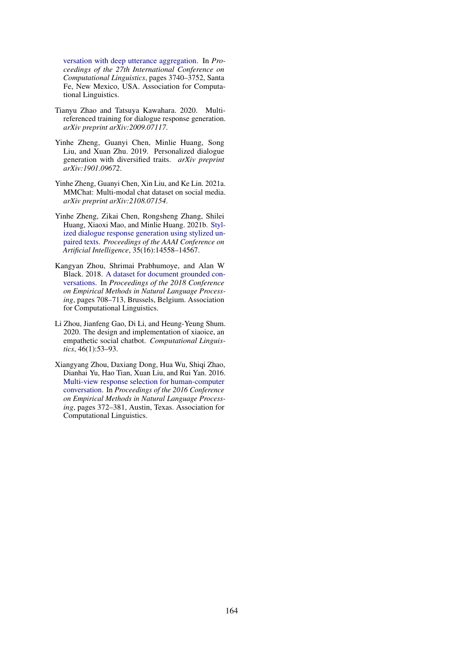[versation with deep utterance aggregation.](https://www.aclweb.org/anthology/C18-1317) In *Proceedings of the 27th International Conference on Computational Linguistics*, pages 3740–3752, Santa Fe, New Mexico, USA. Association for Computational Linguistics.

- <span id="page-16-4"></span>Tianyu Zhao and Tatsuya Kawahara. 2020. Multireferenced training for dialogue response generation. *arXiv preprint arXiv:2009.07117*.
- <span id="page-16-1"></span>Yinhe Zheng, Guanyi Chen, Minlie Huang, Song Liu, and Xuan Zhu. 2019. Personalized dialogue generation with diversified traits. *arXiv preprint arXiv:1901.09672*.
- <span id="page-16-2"></span>Yinhe Zheng, Guanyi Chen, Xin Liu, and Ke Lin. 2021a. MMChat: Multi-modal chat dataset on social media. *arXiv preprint arXiv:2108.07154*.
- <span id="page-16-5"></span>Yinhe Zheng, Zikai Chen, Rongsheng Zhang, Shilei Huang, Xiaoxi Mao, and Minlie Huang. 2021b. [Styl](https://ojs.aaai.org/index.php/AAAI/article/view/17711)[ized dialogue response generation using stylized un](https://ojs.aaai.org/index.php/AAAI/article/view/17711)[paired texts.](https://ojs.aaai.org/index.php/AAAI/article/view/17711) *Proceedings of the AAAI Conference on Artificial Intelligence*, 35(16):14558–14567.
- <span id="page-16-0"></span>Kangyan Zhou, Shrimai Prabhumoye, and Alan W Black. 2018. [A dataset for document grounded con](https://doi.org/10.18653/v1/D18-1076)[versations.](https://doi.org/10.18653/v1/D18-1076) In *Proceedings of the 2018 Conference on Empirical Methods in Natural Language Processing*, pages 708–713, Brussels, Belgium. Association for Computational Linguistics.
- <span id="page-16-6"></span>Li Zhou, Jianfeng Gao, Di Li, and Heung-Yeung Shum. 2020. The design and implementation of xiaoice, an empathetic social chatbot. *Computational Linguistics*, 46(1):53–93.
- <span id="page-16-3"></span>Xiangyang Zhou, Daxiang Dong, Hua Wu, Shiqi Zhao, Dianhai Yu, Hao Tian, Xuan Liu, and Rui Yan. 2016. [Multi-view response selection for human-computer](https://doi.org/10.18653/v1/D16-1036) [conversation.](https://doi.org/10.18653/v1/D16-1036) In *Proceedings of the 2016 Conference on Empirical Methods in Natural Language Processing*, pages 372–381, Austin, Texas. Association for Computational Linguistics.